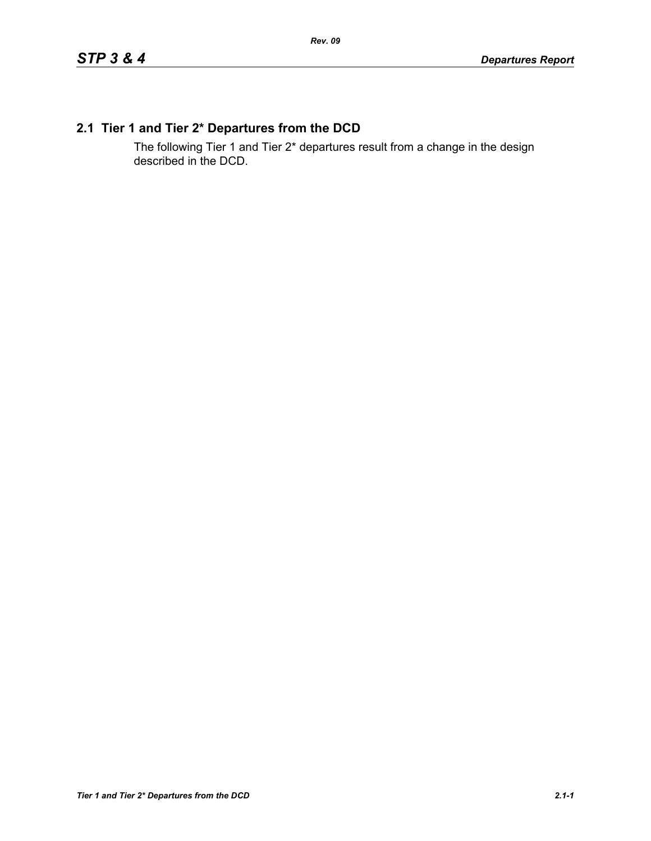# **2.1 Tier 1 and Tier 2\* Departures from the DCD**

The following Tier 1 and Tier 2\* departures result from a change in the design described in the DCD.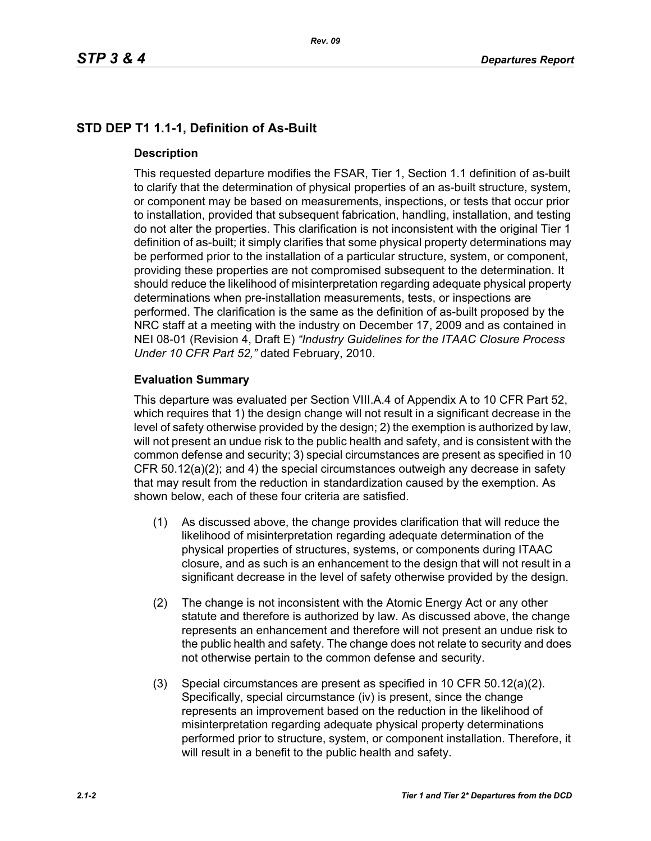# **STD DEP T1 1.1-1, Definition of As-Built**

## **Description**

This requested departure modifies the FSAR, Tier 1, Section 1.1 definition of as-built to clarify that the determination of physical properties of an as-built structure, system, or component may be based on measurements, inspections, or tests that occur prior to installation, provided that subsequent fabrication, handling, installation, and testing do not alter the properties. This clarification is not inconsistent with the original Tier 1 definition of as-built; it simply clarifies that some physical property determinations may be performed prior to the installation of a particular structure, system, or component, providing these properties are not compromised subsequent to the determination. It should reduce the likelihood of misinterpretation regarding adequate physical property determinations when pre-installation measurements, tests, or inspections are performed. The clarification is the same as the definition of as-built proposed by the NRC staff at a meeting with the industry on December 17, 2009 and as contained in NEI 08-01 (Revision 4, Draft E) *"Industry Guidelines for the ITAAC Closure Process Under 10 CFR Part 52,"* dated February, 2010.

## **Evaluation Summary**

This departure was evaluated per Section VIII.A.4 of Appendix A to 10 CFR Part 52, which requires that 1) the design change will not result in a significant decrease in the level of safety otherwise provided by the design; 2) the exemption is authorized by law, will not present an undue risk to the public health and safety, and is consistent with the common defense and security; 3) special circumstances are present as specified in 10 CFR 50.12(a)(2); and 4) the special circumstances outweigh any decrease in safety that may result from the reduction in standardization caused by the exemption. As shown below, each of these four criteria are satisfied.

- (1) As discussed above, the change provides clarification that will reduce the likelihood of misinterpretation regarding adequate determination of the physical properties of structures, systems, or components during ITAAC closure, and as such is an enhancement to the design that will not result in a significant decrease in the level of safety otherwise provided by the design.
- (2) The change is not inconsistent with the Atomic Energy Act or any other statute and therefore is authorized by law. As discussed above, the change represents an enhancement and therefore will not present an undue risk to the public health and safety. The change does not relate to security and does not otherwise pertain to the common defense and security.
- (3) Special circumstances are present as specified in 10 CFR 50.12(a)(2). Specifically, special circumstance (iv) is present, since the change represents an improvement based on the reduction in the likelihood of misinterpretation regarding adequate physical property determinations performed prior to structure, system, or component installation. Therefore, it will result in a benefit to the public health and safety.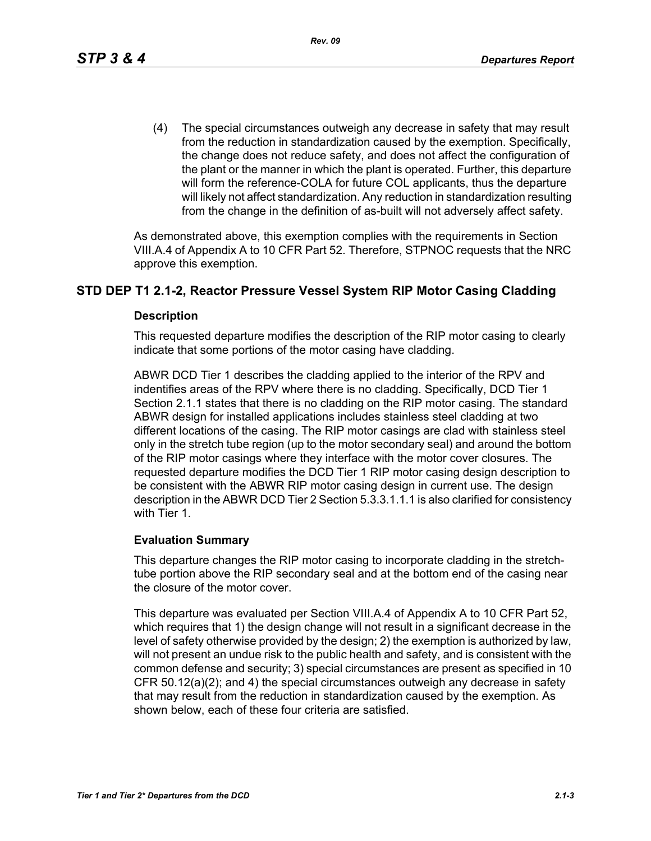(4) The special circumstances outweigh any decrease in safety that may result from the reduction in standardization caused by the exemption. Specifically, the change does not reduce safety, and does not affect the configuration of the plant or the manner in which the plant is operated. Further, this departure will form the reference-COLA for future COL applicants, thus the departure will likely not affect standardization. Any reduction in standardization resulting from the change in the definition of as-built will not adversely affect safety.

As demonstrated above, this exemption complies with the requirements in Section VIII.A.4 of Appendix A to 10 CFR Part 52. Therefore, STPNOC requests that the NRC approve this exemption.

## **STD DEP T1 2.1-2, Reactor Pressure Vessel System RIP Motor Casing Cladding**

#### **Description**

This requested departure modifies the description of the RIP motor casing to clearly indicate that some portions of the motor casing have cladding.

ABWR DCD Tier 1 describes the cladding applied to the interior of the RPV and indentifies areas of the RPV where there is no cladding. Specifically, DCD Tier 1 Section 2.1.1 states that there is no cladding on the RIP motor casing. The standard ABWR design for installed applications includes stainless steel cladding at two different locations of the casing. The RIP motor casings are clad with stainless steel only in the stretch tube region (up to the motor secondary seal) and around the bottom of the RIP motor casings where they interface with the motor cover closures. The requested departure modifies the DCD Tier 1 RIP motor casing design description to be consistent with the ABWR RIP motor casing design in current use. The design description in the ABWR DCD Tier 2 Section 5.3.3.1.1.1 is also clarified for consistency with Tier 1.

## **Evaluation Summary**

This departure changes the RIP motor casing to incorporate cladding in the stretchtube portion above the RIP secondary seal and at the bottom end of the casing near the closure of the motor cover.

This departure was evaluated per Section VIII.A.4 of Appendix A to 10 CFR Part 52, which requires that 1) the design change will not result in a significant decrease in the level of safety otherwise provided by the design; 2) the exemption is authorized by law, will not present an undue risk to the public health and safety, and is consistent with the common defense and security; 3) special circumstances are present as specified in 10 CFR 50.12(a)(2); and 4) the special circumstances outweigh any decrease in safety that may result from the reduction in standardization caused by the exemption. As shown below, each of these four criteria are satisfied.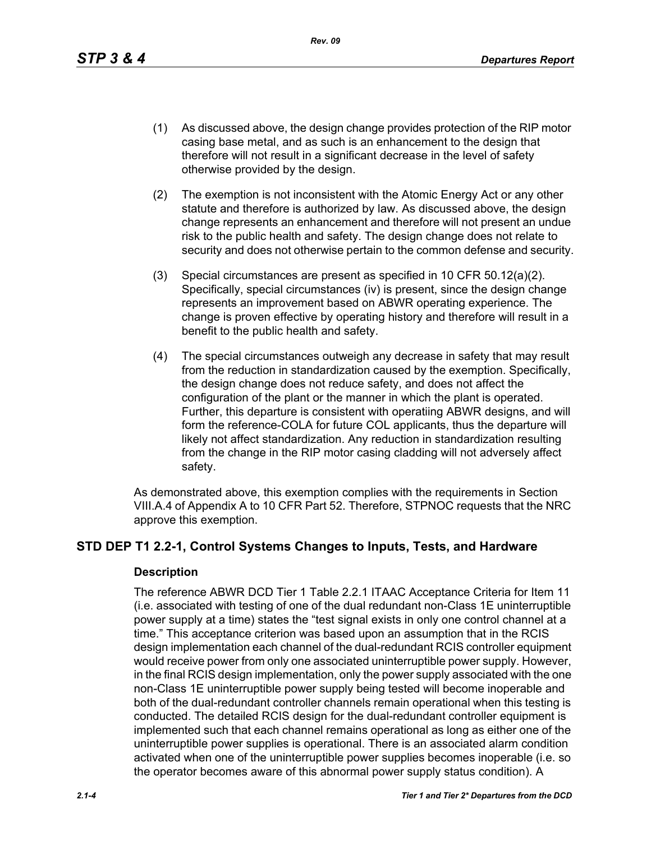*Rev. 09*

- (1) As discussed above, the design change provides protection of the RIP motor casing base metal, and as such is an enhancement to the design that therefore will not result in a significant decrease in the level of safety otherwise provided by the design.
- (2) The exemption is not inconsistent with the Atomic Energy Act or any other statute and therefore is authorized by law. As discussed above, the design change represents an enhancement and therefore will not present an undue risk to the public health and safety. The design change does not relate to security and does not otherwise pertain to the common defense and security.
- (3) Special circumstances are present as specified in 10 CFR 50.12(a)(2). Specifically, special circumstances (iv) is present, since the design change represents an improvement based on ABWR operating experience. The change is proven effective by operating history and therefore will result in a benefit to the public health and safety.
- (4) The special circumstances outweigh any decrease in safety that may result from the reduction in standardization caused by the exemption. Specifically, the design change does not reduce safety, and does not affect the configuration of the plant or the manner in which the plant is operated. Further, this departure is consistent with operatiing ABWR designs, and will form the reference-COLA for future COL applicants, thus the departure will likely not affect standardization. Any reduction in standardization resulting from the change in the RIP motor casing cladding will not adversely affect safety.

As demonstrated above, this exemption complies with the requirements in Section VIII.A.4 of Appendix A to 10 CFR Part 52. Therefore, STPNOC requests that the NRC approve this exemption.

# **STD DEP T1 2.2-1, Control Systems Changes to Inputs, Tests, and Hardware**

#### **Description**

The reference ABWR DCD Tier 1 Table 2.2.1 ITAAC Acceptance Criteria for Item 11 (i.e. associated with testing of one of the dual redundant non-Class 1E uninterruptible power supply at a time) states the "test signal exists in only one control channel at a time." This acceptance criterion was based upon an assumption that in the RCIS design implementation each channel of the dual-redundant RCIS controller equipment would receive power from only one associated uninterruptible power supply. However, in the final RCIS design implementation, only the power supply associated with the one non-Class 1E uninterruptible power supply being tested will become inoperable and both of the dual-redundant controller channels remain operational when this testing is conducted. The detailed RCIS design for the dual-redundant controller equipment is implemented such that each channel remains operational as long as either one of the uninterruptible power supplies is operational. There is an associated alarm condition activated when one of the uninterruptible power supplies becomes inoperable (i.e. so the operator becomes aware of this abnormal power supply status condition). A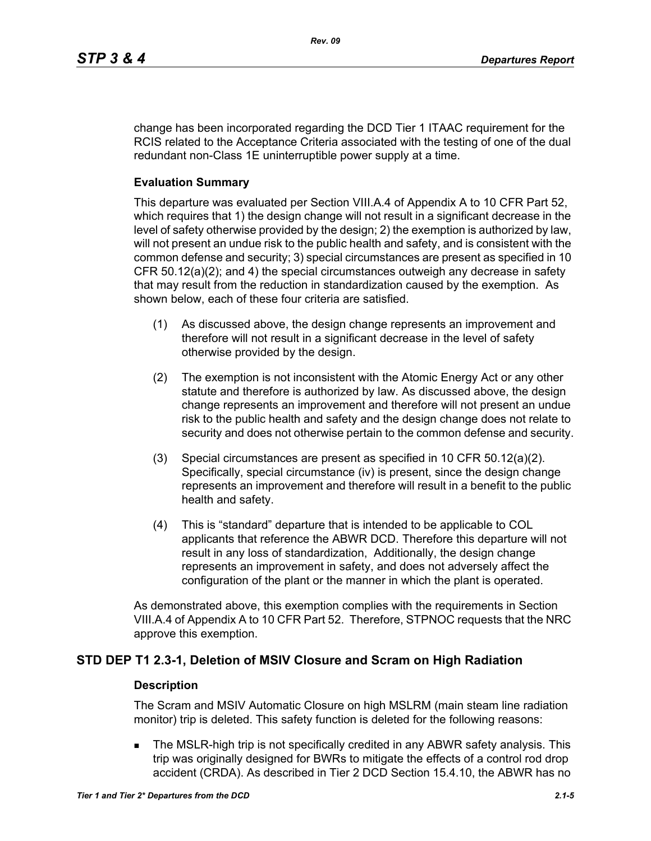change has been incorporated regarding the DCD Tier 1 ITAAC requirement for the RCIS related to the Acceptance Criteria associated with the testing of one of the dual redundant non-Class 1E uninterruptible power supply at a time.

#### **Evaluation Summary**

This departure was evaluated per Section VIII.A.4 of Appendix A to 10 CFR Part 52, which requires that 1) the design change will not result in a significant decrease in the level of safety otherwise provided by the design; 2) the exemption is authorized by law, will not present an undue risk to the public health and safety, and is consistent with the common defense and security; 3) special circumstances are present as specified in 10 CFR 50.12(a)(2); and 4) the special circumstances outweigh any decrease in safety that may result from the reduction in standardization caused by the exemption. As shown below, each of these four criteria are satisfied.

- (1) As discussed above, the design change represents an improvement and therefore will not result in a significant decrease in the level of safety otherwise provided by the design.
- (2) The exemption is not inconsistent with the Atomic Energy Act or any other statute and therefore is authorized by law. As discussed above, the design change represents an improvement and therefore will not present an undue risk to the public health and safety and the design change does not relate to security and does not otherwise pertain to the common defense and security.
- (3) Special circumstances are present as specified in 10 CFR 50.12(a)(2). Specifically, special circumstance (iv) is present, since the design change represents an improvement and therefore will result in a benefit to the public health and safety.
- (4) This is "standard" departure that is intended to be applicable to COL applicants that reference the ABWR DCD. Therefore this departure will not result in any loss of standardization, Additionally, the design change represents an improvement in safety, and does not adversely affect the configuration of the plant or the manner in which the plant is operated.

As demonstrated above, this exemption complies with the requirements in Section VIII.A.4 of Appendix A to 10 CFR Part 52. Therefore, STPNOC requests that the NRC approve this exemption.

## **STD DEP T1 2.3-1, Deletion of MSIV Closure and Scram on High Radiation**

#### **Description**

The Scram and MSIV Automatic Closure on high MSLRM (main steam line radiation monitor) trip is deleted. This safety function is deleted for the following reasons:

 The MSLR-high trip is not specifically credited in any ABWR safety analysis. This trip was originally designed for BWRs to mitigate the effects of a control rod drop accident (CRDA). As described in Tier 2 DCD Section 15.4.10, the ABWR has no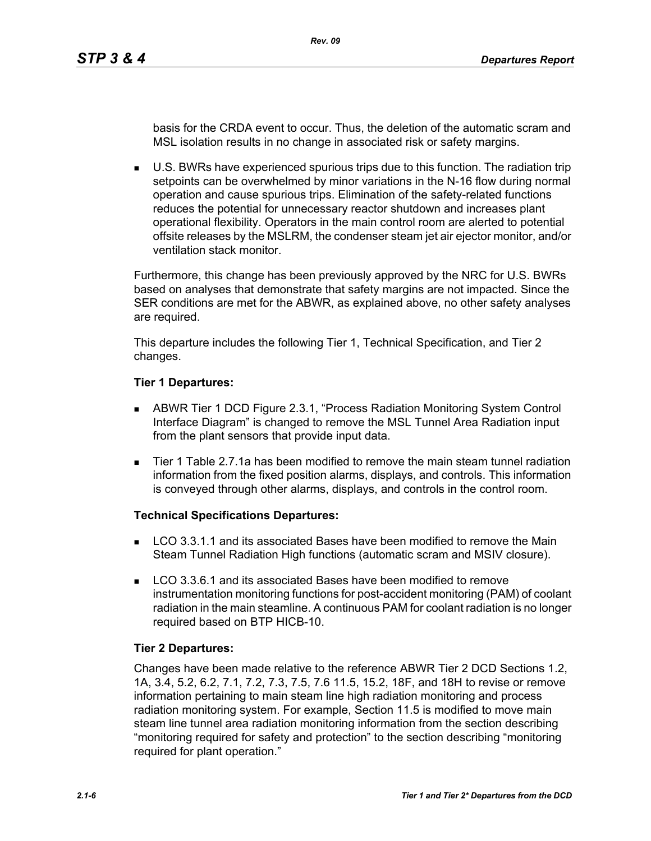basis for the CRDA event to occur. Thus, the deletion of the automatic scram and MSL isolation results in no change in associated risk or safety margins.

 U.S. BWRs have experienced spurious trips due to this function. The radiation trip setpoints can be overwhelmed by minor variations in the N-16 flow during normal operation and cause spurious trips. Elimination of the safety-related functions reduces the potential for unnecessary reactor shutdown and increases plant operational flexibility. Operators in the main control room are alerted to potential offsite releases by the MSLRM, the condenser steam jet air ejector monitor, and/or ventilation stack monitor.

Furthermore, this change has been previously approved by the NRC for U.S. BWRs based on analyses that demonstrate that safety margins are not impacted. Since the SER conditions are met for the ABWR, as explained above, no other safety analyses are required.

This departure includes the following Tier 1, Technical Specification, and Tier 2 changes.

#### **Tier 1 Departures:**

- ABWR Tier 1 DCD Figure 2.3.1, "Process Radiation Monitoring System Control Interface Diagram" is changed to remove the MSL Tunnel Area Radiation input from the plant sensors that provide input data.
- Tier 1 Table 2.7.1a has been modified to remove the main steam tunnel radiation information from the fixed position alarms, displays, and controls. This information is conveyed through other alarms, displays, and controls in the control room.

## **Technical Specifications Departures:**

- **LCO 3.3.1.1 and its associated Bases have been modified to remove the Main** Steam Tunnel Radiation High functions (automatic scram and MSIV closure).
- **LCO 3.3.6.1 and its associated Bases have been modified to remove** instrumentation monitoring functions for post-accident monitoring (PAM) of coolant radiation in the main steamline. A continuous PAM for coolant radiation is no longer required based on BTP HICB-10.

## **Tier 2 Departures:**

Changes have been made relative to the reference ABWR Tier 2 DCD Sections 1.2, 1A, 3.4, 5.2, 6.2, 7.1, 7.2, 7.3, 7.5, 7.6 11.5, 15.2, 18F, and 18H to revise or remove information pertaining to main steam line high radiation monitoring and process radiation monitoring system. For example, Section 11.5 is modified to move main steam line tunnel area radiation monitoring information from the section describing "monitoring required for safety and protection" to the section describing "monitoring required for plant operation."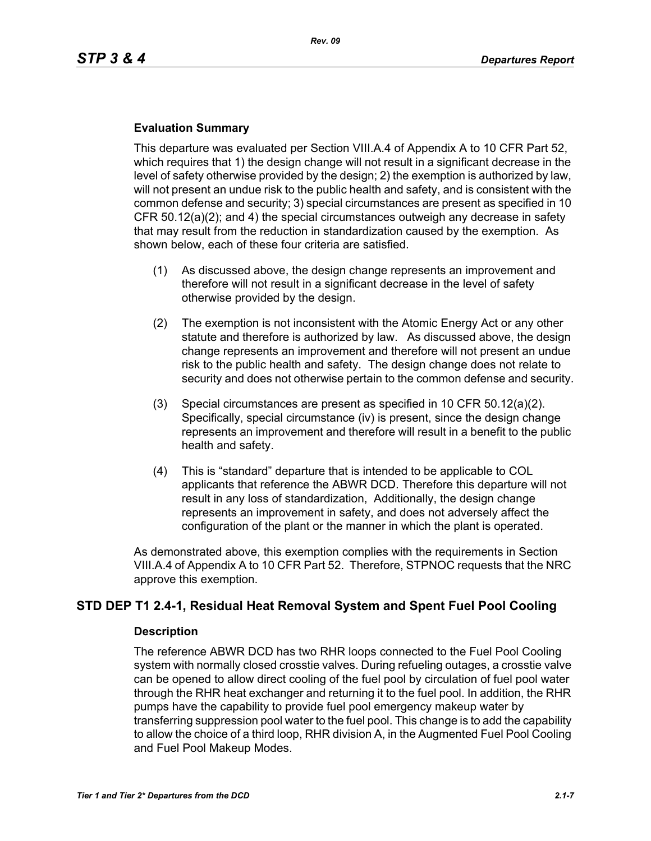## **Evaluation Summary**

This departure was evaluated per Section VIII.A.4 of Appendix A to 10 CFR Part 52, which requires that 1) the design change will not result in a significant decrease in the level of safety otherwise provided by the design; 2) the exemption is authorized by law, will not present an undue risk to the public health and safety, and is consistent with the common defense and security; 3) special circumstances are present as specified in 10 CFR 50.12(a)(2); and 4) the special circumstances outweigh any decrease in safety that may result from the reduction in standardization caused by the exemption. As shown below, each of these four criteria are satisfied.

- (1) As discussed above, the design change represents an improvement and therefore will not result in a significant decrease in the level of safety otherwise provided by the design.
- (2) The exemption is not inconsistent with the Atomic Energy Act or any other statute and therefore is authorized by law. As discussed above, the design change represents an improvement and therefore will not present an undue risk to the public health and safety. The design change does not relate to security and does not otherwise pertain to the common defense and security.
- (3) Special circumstances are present as specified in 10 CFR 50.12(a)(2). Specifically, special circumstance (iv) is present, since the design change represents an improvement and therefore will result in a benefit to the public health and safety.
- (4) This is "standard" departure that is intended to be applicable to COL applicants that reference the ABWR DCD. Therefore this departure will not result in any loss of standardization, Additionally, the design change represents an improvement in safety, and does not adversely affect the configuration of the plant or the manner in which the plant is operated.

As demonstrated above, this exemption complies with the requirements in Section VIII.A.4 of Appendix A to 10 CFR Part 52. Therefore, STPNOC requests that the NRC approve this exemption.

# **STD DEP T1 2.4-1, Residual Heat Removal System and Spent Fuel Pool Cooling**

#### **Description**

The reference ABWR DCD has two RHR loops connected to the Fuel Pool Cooling system with normally closed crosstie valves. During refueling outages, a crosstie valve can be opened to allow direct cooling of the fuel pool by circulation of fuel pool water through the RHR heat exchanger and returning it to the fuel pool. In addition, the RHR pumps have the capability to provide fuel pool emergency makeup water by transferring suppression pool water to the fuel pool. This change is to add the capability to allow the choice of a third loop, RHR division A, in the Augmented Fuel Pool Cooling and Fuel Pool Makeup Modes.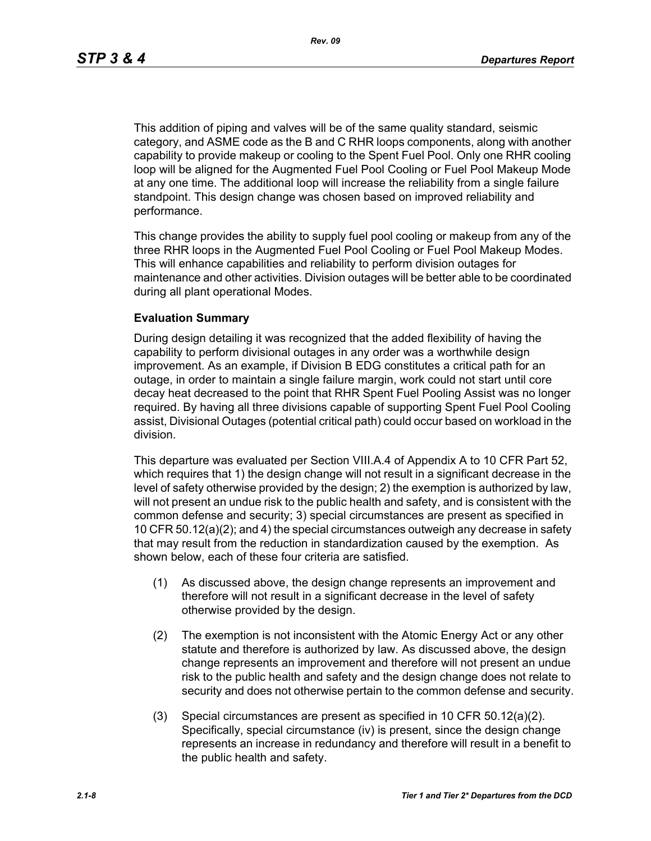This addition of piping and valves will be of the same quality standard, seismic category, and ASME code as the B and C RHR loops components, along with another capability to provide makeup or cooling to the Spent Fuel Pool. Only one RHR cooling loop will be aligned for the Augmented Fuel Pool Cooling or Fuel Pool Makeup Mode at any one time. The additional loop will increase the reliability from a single failure standpoint. This design change was chosen based on improved reliability and performance.

This change provides the ability to supply fuel pool cooling or makeup from any of the three RHR loops in the Augmented Fuel Pool Cooling or Fuel Pool Makeup Modes. This will enhance capabilities and reliability to perform division outages for maintenance and other activities. Division outages will be better able to be coordinated during all plant operational Modes.

#### **Evaluation Summary**

During design detailing it was recognized that the added flexibility of having the capability to perform divisional outages in any order was a worthwhile design improvement. As an example, if Division B EDG constitutes a critical path for an outage, in order to maintain a single failure margin, work could not start until core decay heat decreased to the point that RHR Spent Fuel Pooling Assist was no longer required. By having all three divisions capable of supporting Spent Fuel Pool Cooling assist, Divisional Outages (potential critical path) could occur based on workload in the division.

This departure was evaluated per Section VIII.A.4 of Appendix A to 10 CFR Part 52, which requires that 1) the design change will not result in a significant decrease in the level of safety otherwise provided by the design; 2) the exemption is authorized by law, will not present an undue risk to the public health and safety, and is consistent with the common defense and security; 3) special circumstances are present as specified in 10 CFR 50.12(a)(2); and 4) the special circumstances outweigh any decrease in safety that may result from the reduction in standardization caused by the exemption. As shown below, each of these four criteria are satisfied.

- (1) As discussed above, the design change represents an improvement and therefore will not result in a significant decrease in the level of safety otherwise provided by the design.
- (2) The exemption is not inconsistent with the Atomic Energy Act or any other statute and therefore is authorized by law. As discussed above, the design change represents an improvement and therefore will not present an undue risk to the public health and safety and the design change does not relate to security and does not otherwise pertain to the common defense and security.
- (3) Special circumstances are present as specified in 10 CFR 50.12(a)(2). Specifically, special circumstance (iv) is present, since the design change represents an increase in redundancy and therefore will result in a benefit to the public health and safety.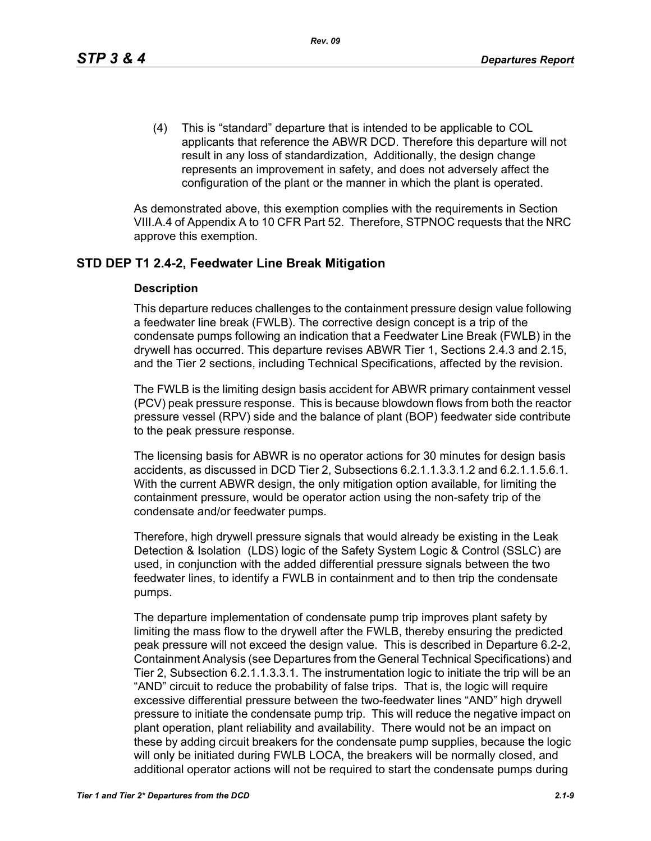(4) This is "standard" departure that is intended to be applicable to COL applicants that reference the ABWR DCD. Therefore this departure will not result in any loss of standardization, Additionally, the design change represents an improvement in safety, and does not adversely affect the configuration of the plant or the manner in which the plant is operated.

As demonstrated above, this exemption complies with the requirements in Section VIII.A.4 of Appendix A to 10 CFR Part 52. Therefore, STPNOC requests that the NRC approve this exemption.

# **STD DEP T1 2.4-2, Feedwater Line Break Mitigation**

#### **Description**

This departure reduces challenges to the containment pressure design value following a feedwater line break (FWLB). The corrective design concept is a trip of the condensate pumps following an indication that a Feedwater Line Break (FWLB) in the drywell has occurred. This departure revises ABWR Tier 1, Sections 2.4.3 and 2.15, and the Tier 2 sections, including Technical Specifications, affected by the revision.

The FWLB is the limiting design basis accident for ABWR primary containment vessel (PCV) peak pressure response. This is because blowdown flows from both the reactor pressure vessel (RPV) side and the balance of plant (BOP) feedwater side contribute to the peak pressure response.

The licensing basis for ABWR is no operator actions for 30 minutes for design basis accidents, as discussed in DCD Tier 2, Subsections 6.2.1.1.3.3.1.2 and 6.2.1.1.5.6.1. With the current ABWR design, the only mitigation option available, for limiting the containment pressure, would be operator action using the non-safety trip of the condensate and/or feedwater pumps.

Therefore, high drywell pressure signals that would already be existing in the Leak Detection & Isolation (LDS) logic of the Safety System Logic & Control (SSLC) are used, in conjunction with the added differential pressure signals between the two feedwater lines, to identify a FWLB in containment and to then trip the condensate pumps.

The departure implementation of condensate pump trip improves plant safety by limiting the mass flow to the drywell after the FWLB, thereby ensuring the predicted peak pressure will not exceed the design value. This is described in Departure 6.2-2, Containment Analysis (see Departures from the General Technical Specifications) and Tier 2, Subsection 6.2.1.1.3.3.1. The instrumentation logic to initiate the trip will be an "AND" circuit to reduce the probability of false trips. That is, the logic will require excessive differential pressure between the two-feedwater lines "AND" high drywell pressure to initiate the condensate pump trip. This will reduce the negative impact on plant operation, plant reliability and availability. There would not be an impact on these by adding circuit breakers for the condensate pump supplies, because the logic will only be initiated during FWLB LOCA, the breakers will be normally closed, and additional operator actions will not be required to start the condensate pumps during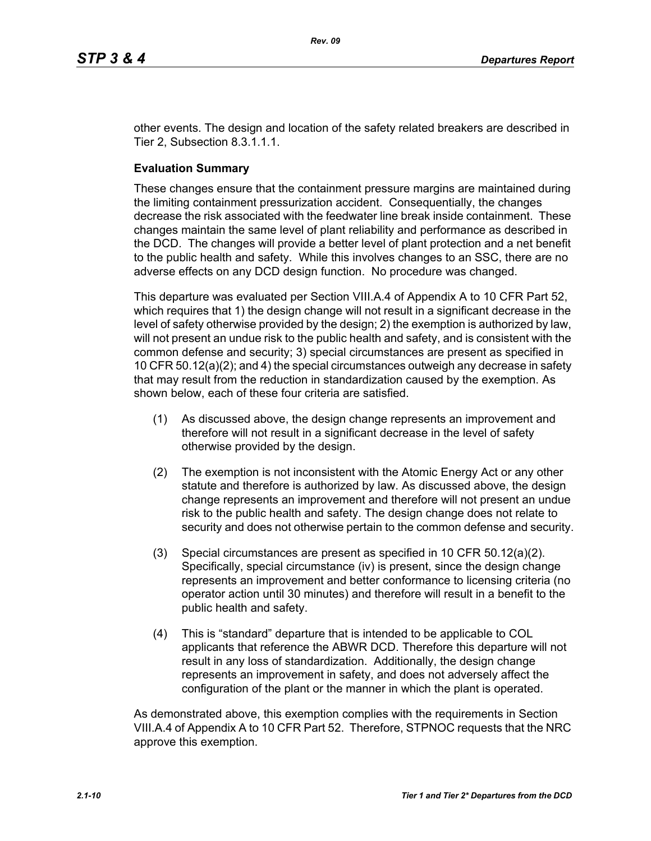other events. The design and location of the safety related breakers are described in Tier 2, Subsection 8.3.1.1.1.

#### **Evaluation Summary**

These changes ensure that the containment pressure margins are maintained during the limiting containment pressurization accident. Consequentially, the changes decrease the risk associated with the feedwater line break inside containment. These changes maintain the same level of plant reliability and performance as described in the DCD. The changes will provide a better level of plant protection and a net benefit to the public health and safety. While this involves changes to an SSC, there are no adverse effects on any DCD design function. No procedure was changed.

This departure was evaluated per Section VIII.A.4 of Appendix A to 10 CFR Part 52, which requires that 1) the design change will not result in a significant decrease in the level of safety otherwise provided by the design; 2) the exemption is authorized by law, will not present an undue risk to the public health and safety, and is consistent with the common defense and security; 3) special circumstances are present as specified in 10 CFR 50.12(a)(2); and 4) the special circumstances outweigh any decrease in safety that may result from the reduction in standardization caused by the exemption. As shown below, each of these four criteria are satisfied.

- (1) As discussed above, the design change represents an improvement and therefore will not result in a significant decrease in the level of safety otherwise provided by the design.
- (2) The exemption is not inconsistent with the Atomic Energy Act or any other statute and therefore is authorized by law. As discussed above, the design change represents an improvement and therefore will not present an undue risk to the public health and safety. The design change does not relate to security and does not otherwise pertain to the common defense and security.
- (3) Special circumstances are present as specified in 10 CFR 50.12(a)(2). Specifically, special circumstance (iv) is present, since the design change represents an improvement and better conformance to licensing criteria (no operator action until 30 minutes) and therefore will result in a benefit to the public health and safety.
- (4) This is "standard" departure that is intended to be applicable to COL applicants that reference the ABWR DCD. Therefore this departure will not result in any loss of standardization. Additionally, the design change represents an improvement in safety, and does not adversely affect the configuration of the plant or the manner in which the plant is operated.

As demonstrated above, this exemption complies with the requirements in Section VIII.A.4 of Appendix A to 10 CFR Part 52. Therefore, STPNOC requests that the NRC approve this exemption.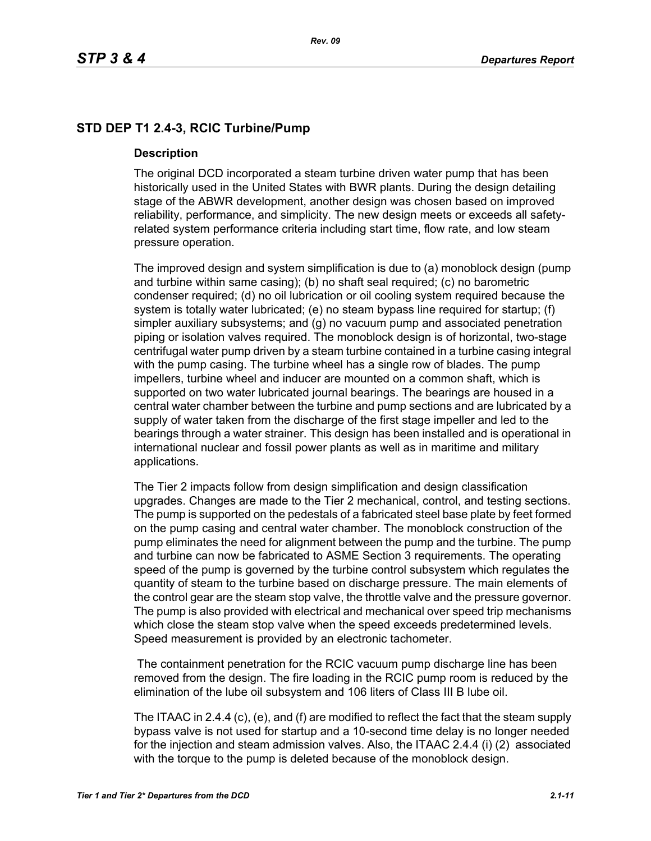# **STD DEP T1 2.4-3, RCIC Turbine/Pump**

#### **Description**

The original DCD incorporated a steam turbine driven water pump that has been historically used in the United States with BWR plants. During the design detailing stage of the ABWR development, another design was chosen based on improved reliability, performance, and simplicity. The new design meets or exceeds all safetyrelated system performance criteria including start time, flow rate, and low steam pressure operation.

The improved design and system simplification is due to (a) monoblock design (pump and turbine within same casing); (b) no shaft seal required; (c) no barometric condenser required; (d) no oil lubrication or oil cooling system required because the system is totally water lubricated; (e) no steam bypass line required for startup; (f) simpler auxiliary subsystems; and (g) no vacuum pump and associated penetration piping or isolation valves required. The monoblock design is of horizontal, two-stage centrifugal water pump driven by a steam turbine contained in a turbine casing integral with the pump casing. The turbine wheel has a single row of blades. The pump impellers, turbine wheel and inducer are mounted on a common shaft, which is supported on two water lubricated journal bearings. The bearings are housed in a central water chamber between the turbine and pump sections and are lubricated by a supply of water taken from the discharge of the first stage impeller and led to the bearings through a water strainer. This design has been installed and is operational in international nuclear and fossil power plants as well as in maritime and military applications.

The Tier 2 impacts follow from design simplification and design classification upgrades. Changes are made to the Tier 2 mechanical, control, and testing sections. The pump is supported on the pedestals of a fabricated steel base plate by feet formed on the pump casing and central water chamber. The monoblock construction of the pump eliminates the need for alignment between the pump and the turbine. The pump and turbine can now be fabricated to ASME Section 3 requirements. The operating speed of the pump is governed by the turbine control subsystem which regulates the quantity of steam to the turbine based on discharge pressure. The main elements of the control gear are the steam stop valve, the throttle valve and the pressure governor. The pump is also provided with electrical and mechanical over speed trip mechanisms which close the steam stop valve when the speed exceeds predetermined levels. Speed measurement is provided by an electronic tachometer.

 The containment penetration for the RCIC vacuum pump discharge line has been removed from the design. The fire loading in the RCIC pump room is reduced by the elimination of the lube oil subsystem and 106 liters of Class III B lube oil.

The ITAAC in 2.4.4 (c), (e), and (f) are modified to reflect the fact that the steam supply bypass valve is not used for startup and a 10-second time delay is no longer needed for the injection and steam admission valves. Also, the ITAAC 2.4.4 (i) (2) associated with the torque to the pump is deleted because of the monoblock design.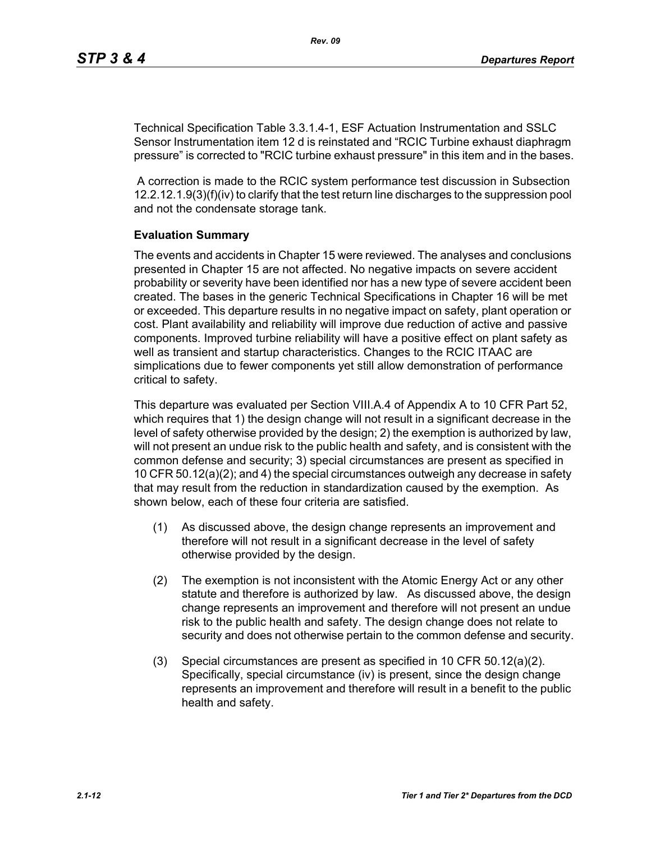Technical Specification Table 3.3.1.4-1, ESF Actuation Instrumentation and SSLC Sensor Instrumentation item 12 d is reinstated and "RCIC Turbine exhaust diaphragm pressure" is corrected to "RCIC turbine exhaust pressure" in this item and in the bases.

 A correction is made to the RCIC system performance test discussion in Subsection 12.2.12.1.9(3)(f)(iv) to clarify that the test return line discharges to the suppression pool and not the condensate storage tank.

#### **Evaluation Summary**

The events and accidents in Chapter 15 were reviewed. The analyses and conclusions presented in Chapter 15 are not affected. No negative impacts on severe accident probability or severity have been identified nor has a new type of severe accident been created. The bases in the generic Technical Specifications in Chapter 16 will be met or exceeded. This departure results in no negative impact on safety, plant operation or cost. Plant availability and reliability will improve due reduction of active and passive components. Improved turbine reliability will have a positive effect on plant safety as well as transient and startup characteristics. Changes to the RCIC ITAAC are simplications due to fewer components yet still allow demonstration of performance critical to safety.

This departure was evaluated per Section VIII.A.4 of Appendix A to 10 CFR Part 52, which requires that 1) the design change will not result in a significant decrease in the level of safety otherwise provided by the design; 2) the exemption is authorized by law, will not present an undue risk to the public health and safety, and is consistent with the common defense and security; 3) special circumstances are present as specified in 10 CFR 50.12(a)(2); and 4) the special circumstances outweigh any decrease in safety that may result from the reduction in standardization caused by the exemption. As shown below, each of these four criteria are satisfied.

- (1) As discussed above, the design change represents an improvement and therefore will not result in a significant decrease in the level of safety otherwise provided by the design.
- (2) The exemption is not inconsistent with the Atomic Energy Act or any other statute and therefore is authorized by law. As discussed above, the design change represents an improvement and therefore will not present an undue risk to the public health and safety. The design change does not relate to security and does not otherwise pertain to the common defense and security.
- (3) Special circumstances are present as specified in 10 CFR 50.12(a)(2). Specifically, special circumstance (iv) is present, since the design change represents an improvement and therefore will result in a benefit to the public health and safety.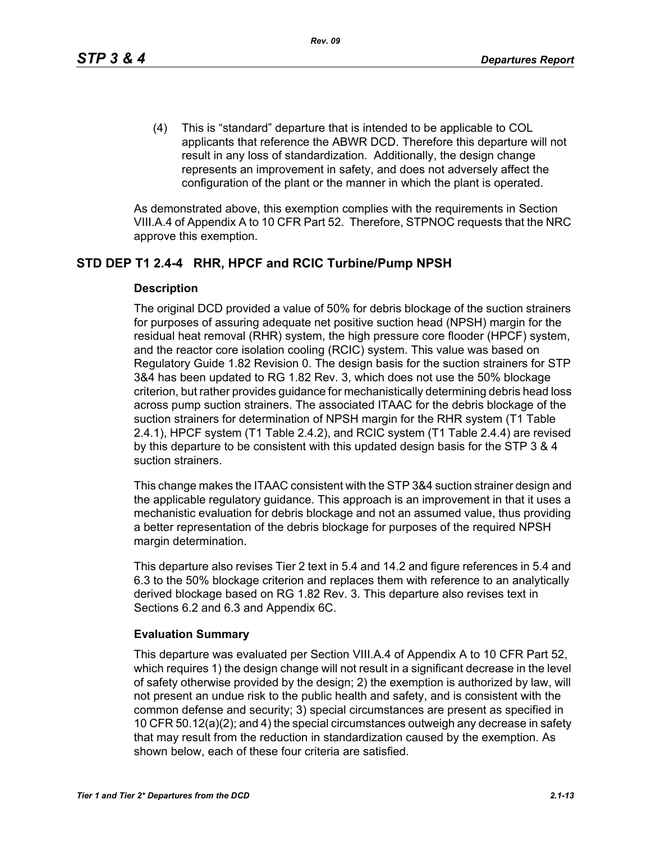(4) This is "standard" departure that is intended to be applicable to COL applicants that reference the ABWR DCD. Therefore this departure will not result in any loss of standardization. Additionally, the design change represents an improvement in safety, and does not adversely affect the configuration of the plant or the manner in which the plant is operated.

As demonstrated above, this exemption complies with the requirements in Section VIII.A.4 of Appendix A to 10 CFR Part 52. Therefore, STPNOC requests that the NRC approve this exemption.

# **STD DEP T1 2.4-4 RHR, HPCF and RCIC Turbine/Pump NPSH**

#### **Description**

The original DCD provided a value of 50% for debris blockage of the suction strainers for purposes of assuring adequate net positive suction head (NPSH) margin for the residual heat removal (RHR) system, the high pressure core flooder (HPCF) system, and the reactor core isolation cooling (RCIC) system. This value was based on Regulatory Guide 1.82 Revision 0. The design basis for the suction strainers for STP 3&4 has been updated to RG 1.82 Rev. 3, which does not use the 50% blockage criterion, but rather provides guidance for mechanistically determining debris head loss across pump suction strainers. The associated ITAAC for the debris blockage of the suction strainers for determination of NPSH margin for the RHR system (T1 Table 2.4.1), HPCF system (T1 Table 2.4.2), and RCIC system (T1 Table 2.4.4) are revised by this departure to be consistent with this updated design basis for the STP 3 & 4 suction strainers.

This change makes the ITAAC consistent with the STP 3&4 suction strainer design and the applicable regulatory guidance. This approach is an improvement in that it uses a mechanistic evaluation for debris blockage and not an assumed value, thus providing a better representation of the debris blockage for purposes of the required NPSH margin determination.

This departure also revises Tier 2 text in 5.4 and 14.2 and figure references in 5.4 and 6.3 to the 50% blockage criterion and replaces them with reference to an analytically derived blockage based on RG 1.82 Rev. 3. This departure also revises text in Sections 6.2 and 6.3 and Appendix 6C.

## **Evaluation Summary**

This departure was evaluated per Section VIII.A.4 of Appendix A to 10 CFR Part 52, which requires 1) the design change will not result in a significant decrease in the level of safety otherwise provided by the design; 2) the exemption is authorized by law, will not present an undue risk to the public health and safety, and is consistent with the common defense and security; 3) special circumstances are present as specified in 10 CFR 50.12(a)(2); and 4) the special circumstances outweigh any decrease in safety that may result from the reduction in standardization caused by the exemption. As shown below, each of these four criteria are satisfied.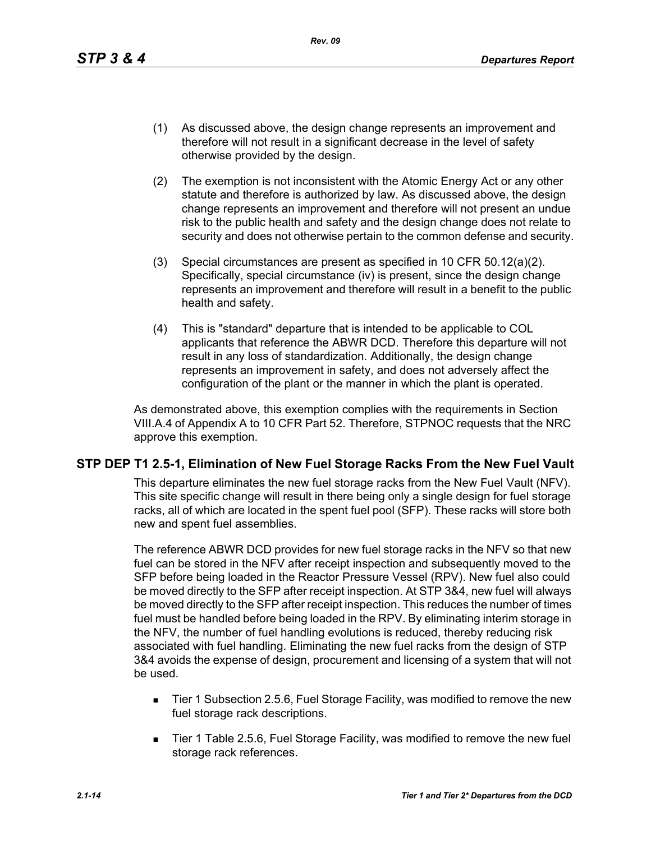- (1) As discussed above, the design change represents an improvement and therefore will not result in a significant decrease in the level of safety otherwise provided by the design.
- (2) The exemption is not inconsistent with the Atomic Energy Act or any other statute and therefore is authorized by law. As discussed above, the design change represents an improvement and therefore will not present an undue risk to the public health and safety and the design change does not relate to security and does not otherwise pertain to the common defense and security.
- (3) Special circumstances are present as specified in 10 CFR 50.12(a)(2). Specifically, special circumstance (iv) is present, since the design change represents an improvement and therefore will result in a benefit to the public health and safety.
- (4) This is "standard" departure that is intended to be applicable to COL applicants that reference the ABWR DCD. Therefore this departure will not result in any loss of standardization. Additionally, the design change represents an improvement in safety, and does not adversely affect the configuration of the plant or the manner in which the plant is operated.

As demonstrated above, this exemption complies with the requirements in Section VIII.A.4 of Appendix A to 10 CFR Part 52. Therefore, STPNOC requests that the NRC approve this exemption.

## **STP DEP T1 2.5-1, Elimination of New Fuel Storage Racks From the New Fuel Vault**

This departure eliminates the new fuel storage racks from the New Fuel Vault (NFV). This site specific change will result in there being only a single design for fuel storage racks, all of which are located in the spent fuel pool (SFP). These racks will store both new and spent fuel assemblies.

The reference ABWR DCD provides for new fuel storage racks in the NFV so that new fuel can be stored in the NFV after receipt inspection and subsequently moved to the SFP before being loaded in the Reactor Pressure Vessel (RPV). New fuel also could be moved directly to the SFP after receipt inspection. At STP 3&4, new fuel will always be moved directly to the SFP after receipt inspection. This reduces the number of times fuel must be handled before being loaded in the RPV. By eliminating interim storage in the NFV, the number of fuel handling evolutions is reduced, thereby reducing risk associated with fuel handling. Eliminating the new fuel racks from the design of STP 3&4 avoids the expense of design, procurement and licensing of a system that will not be used.

- Tier 1 Subsection 2.5.6, Fuel Storage Facility, was modified to remove the new fuel storage rack descriptions.
- Tier 1 Table 2.5.6, Fuel Storage Facility, was modified to remove the new fuel storage rack references.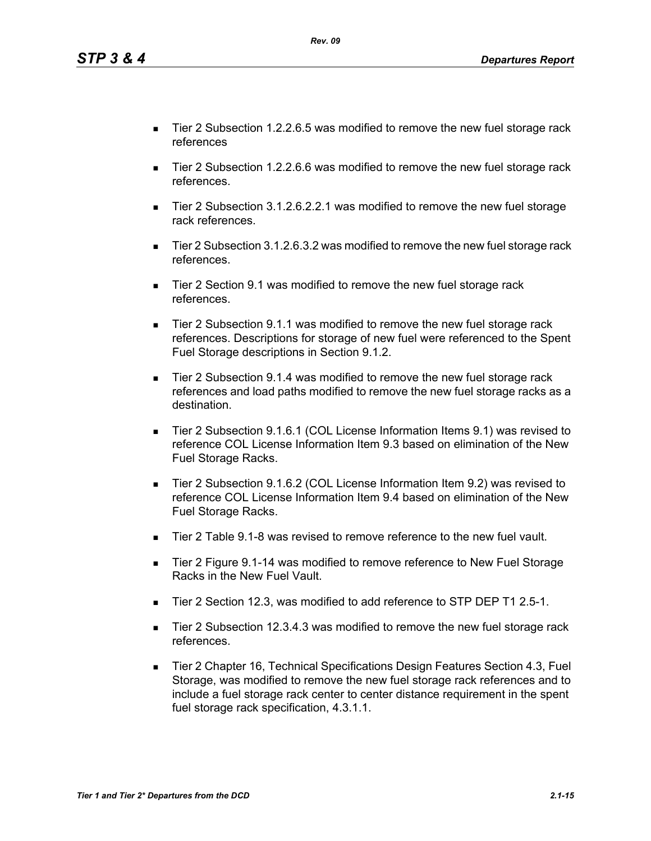*Tier 1 and Tier 2\* Departures from the DCD 2.1-15*

- Tier 2 Subsection 1.2.2.6.5 was modified to remove the new fuel storage rack references
- Tier 2 Subsection 1.2.2.6.6 was modified to remove the new fuel storage rack references.
- Tier 2 Subsection 3.1.2.6.2.2.1 was modified to remove the new fuel storage rack references.
- Tier 2 Subsection 3.1.2.6.3.2 was modified to remove the new fuel storage rack references.
- Tier 2 Section 9.1 was modified to remove the new fuel storage rack references.
- Tier 2 Subsection 9.1.1 was modified to remove the new fuel storage rack references. Descriptions for storage of new fuel were referenced to the Spent Fuel Storage descriptions in Section 9.1.2.
- Tier 2 Subsection 9.1.4 was modified to remove the new fuel storage rack references and load paths modified to remove the new fuel storage racks as a destination.
- Tier 2 Subsection 9.1.6.1 (COL License Information Items 9.1) was revised to reference COL License Information Item 9.3 based on elimination of the New Fuel Storage Racks.
- Tier 2 Subsection 9.1.6.2 (COL License Information Item 9.2) was revised to reference COL License Information Item 9.4 based on elimination of the New Fuel Storage Racks.
- Tier 2 Table 9.1-8 was revised to remove reference to the new fuel vault.
- Tier 2 Figure 9.1-14 was modified to remove reference to New Fuel Storage Racks in the New Fuel Vault.
- Tier 2 Section 12.3, was modified to add reference to STP DEP T1 2.5-1.
- Tier 2 Subsection 12.3.4.3 was modified to remove the new fuel storage rack references.
- Tier 2 Chapter 16, Technical Specifications Design Features Section 4.3, Fuel Storage, was modified to remove the new fuel storage rack references and to include a fuel storage rack center to center distance requirement in the spent fuel storage rack specification, 4.3.1.1.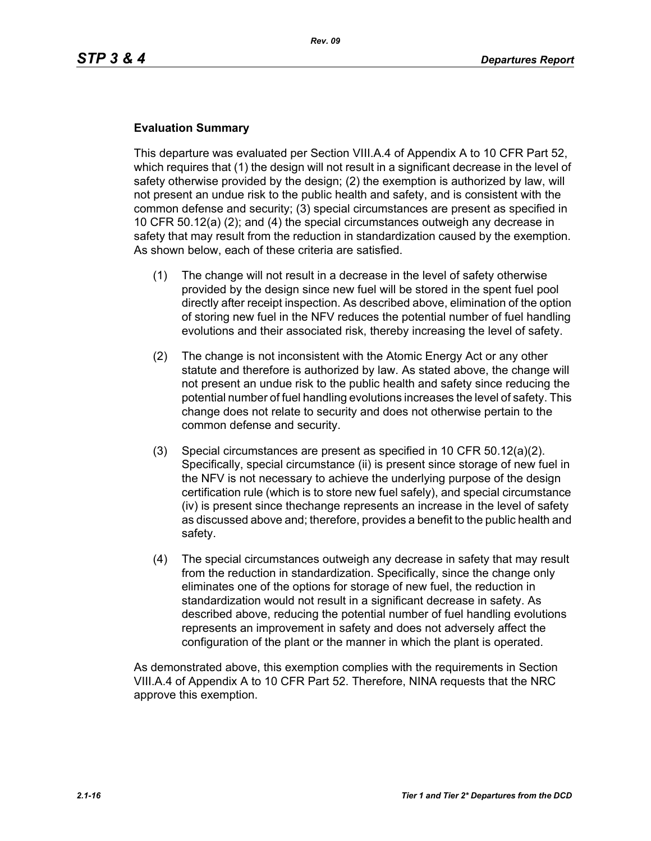## **Evaluation Summary**

This departure was evaluated per Section VIII.A.4 of Appendix A to 10 CFR Part 52, which requires that (1) the design will not result in a significant decrease in the level of safety otherwise provided by the design; (2) the exemption is authorized by law, will not present an undue risk to the public health and safety, and is consistent with the common defense and security; (3) special circumstances are present as specified in 10 CFR 50.12(a) (2); and (4) the special circumstances outweigh any decrease in safety that may result from the reduction in standardization caused by the exemption. As shown below, each of these criteria are satisfied.

- (1) The change will not result in a decrease in the level of safety otherwise provided by the design since new fuel will be stored in the spent fuel pool directly after receipt inspection. As described above, elimination of the option of storing new fuel in the NFV reduces the potential number of fuel handling evolutions and their associated risk, thereby increasing the level of safety.
- (2) The change is not inconsistent with the Atomic Energy Act or any other statute and therefore is authorized by law. As stated above, the change will not present an undue risk to the public health and safety since reducing the potential number of fuel handling evolutions increases the level of safety. This change does not relate to security and does not otherwise pertain to the common defense and security.
- (3) Special circumstances are present as specified in 10 CFR 50.12(a)(2). Specifically, special circumstance (ii) is present since storage of new fuel in the NFV is not necessary to achieve the underlying purpose of the design certification rule (which is to store new fuel safely), and special circumstance (iv) is present since thechange represents an increase in the level of safety as discussed above and; therefore, provides a benefit to the public health and safety.
- (4) The special circumstances outweigh any decrease in safety that may result from the reduction in standardization. Specifically, since the change only eliminates one of the options for storage of new fuel, the reduction in standardization would not result in a significant decrease in safety. As described above, reducing the potential number of fuel handling evolutions represents an improvement in safety and does not adversely affect the configuration of the plant or the manner in which the plant is operated.

As demonstrated above, this exemption complies with the requirements in Section VIII.A.4 of Appendix A to 10 CFR Part 52. Therefore, NINA requests that the NRC approve this exemption.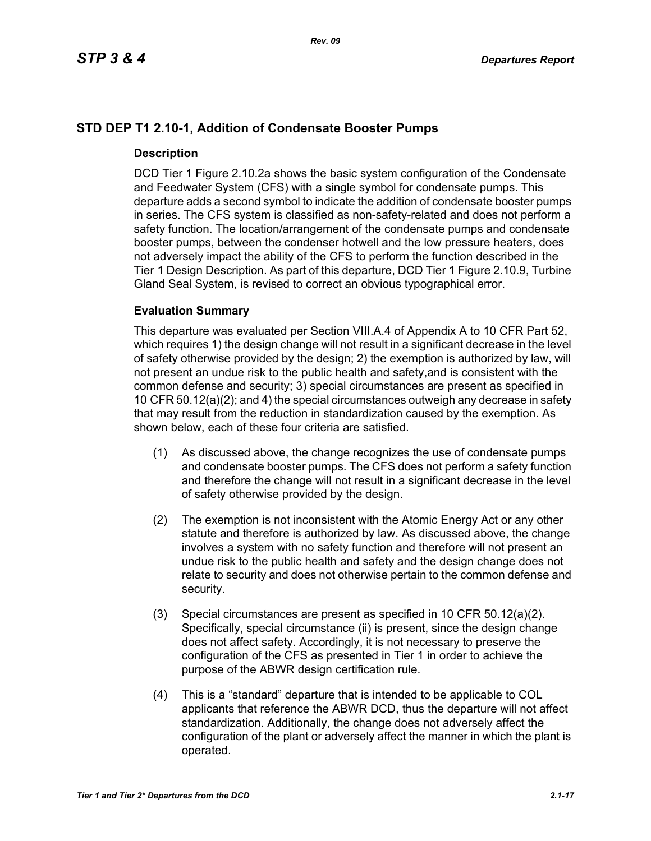# **STD DEP T1 2.10-1, Addition of Condensate Booster Pumps**

## **Description**

DCD Tier 1 Figure 2.10.2a shows the basic system configuration of the Condensate and Feedwater System (CFS) with a single symbol for condensate pumps. This departure adds a second symbol to indicate the addition of condensate booster pumps in series. The CFS system is classified as non-safety-related and does not perform a safety function. The location/arrangement of the condensate pumps and condensate booster pumps, between the condenser hotwell and the low pressure heaters, does not adversely impact the ability of the CFS to perform the function described in the Tier 1 Design Description. As part of this departure, DCD Tier 1 Figure 2.10.9, Turbine Gland Seal System, is revised to correct an obvious typographical error.

## **Evaluation Summary**

This departure was evaluated per Section VIII.A.4 of Appendix A to 10 CFR Part 52, which requires 1) the design change will not result in a significant decrease in the level of safety otherwise provided by the design; 2) the exemption is authorized by law, will not present an undue risk to the public health and safety,and is consistent with the common defense and security; 3) special circumstances are present as specified in 10 CFR 50.12(a)(2); and 4) the special circumstances outweigh any decrease in safety that may result from the reduction in standardization caused by the exemption. As shown below, each of these four criteria are satisfied.

- (1) As discussed above, the change recognizes the use of condensate pumps and condensate booster pumps. The CFS does not perform a safety function and therefore the change will not result in a significant decrease in the level of safety otherwise provided by the design.
- (2) The exemption is not inconsistent with the Atomic Energy Act or any other statute and therefore is authorized by law. As discussed above, the change involves a system with no safety function and therefore will not present an undue risk to the public health and safety and the design change does not relate to security and does not otherwise pertain to the common defense and security.
- (3) Special circumstances are present as specified in 10 CFR 50.12(a)(2). Specifically, special circumstance (ii) is present, since the design change does not affect safety. Accordingly, it is not necessary to preserve the configuration of the CFS as presented in Tier 1 in order to achieve the purpose of the ABWR design certification rule.
- (4) This is a "standard" departure that is intended to be applicable to COL applicants that reference the ABWR DCD, thus the departure will not affect standardization. Additionally, the change does not adversely affect the configuration of the plant or adversely affect the manner in which the plant is operated.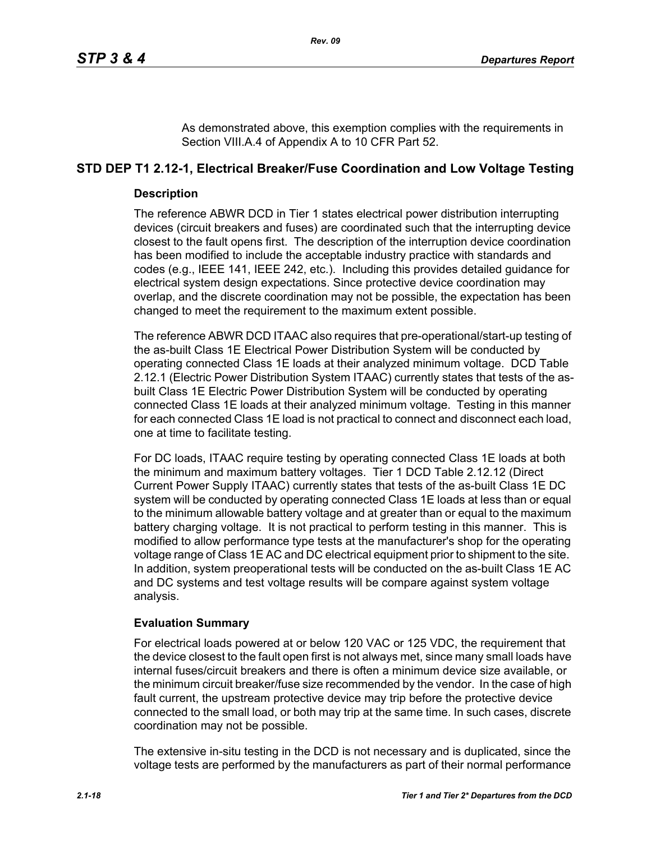As demonstrated above, this exemption complies with the requirements in Section VIII.A.4 of Appendix A to 10 CFR Part 52.

# **STD DEP T1 2.12-1, Electrical Breaker/Fuse Coordination and Low Voltage Testing**

## **Description**

The reference ABWR DCD in Tier 1 states electrical power distribution interrupting devices (circuit breakers and fuses) are coordinated such that the interrupting device closest to the fault opens first. The description of the interruption device coordination has been modified to include the acceptable industry practice with standards and codes (e.g., IEEE 141, IEEE 242, etc.). Including this provides detailed guidance for electrical system design expectations. Since protective device coordination may overlap, and the discrete coordination may not be possible, the expectation has been changed to meet the requirement to the maximum extent possible.

The reference ABWR DCD ITAAC also requires that pre-operational/start-up testing of the as-built Class 1E Electrical Power Distribution System will be conducted by operating connected Class 1E loads at their analyzed minimum voltage. DCD Table 2.12.1 (Electric Power Distribution System ITAAC) currently states that tests of the asbuilt Class 1E Electric Power Distribution System will be conducted by operating connected Class 1E loads at their analyzed minimum voltage. Testing in this manner for each connected Class 1E load is not practical to connect and disconnect each load, one at time to facilitate testing.

For DC loads, ITAAC require testing by operating connected Class 1E loads at both the minimum and maximum battery voltages. Tier 1 DCD Table 2.12.12 (Direct Current Power Supply ITAAC) currently states that tests of the as-built Class 1E DC system will be conducted by operating connected Class 1E loads at less than or equal to the minimum allowable battery voltage and at greater than or equal to the maximum battery charging voltage. It is not practical to perform testing in this manner. This is modified to allow performance type tests at the manufacturer's shop for the operating voltage range of Class 1E AC and DC electrical equipment prior to shipment to the site. In addition, system preoperational tests will be conducted on the as-built Class 1E AC and DC systems and test voltage results will be compare against system voltage analysis.

# **Evaluation Summary**

For electrical loads powered at or below 120 VAC or 125 VDC, the requirement that the device closest to the fault open first is not always met, since many small loads have internal fuses/circuit breakers and there is often a minimum device size available, or the minimum circuit breaker/fuse size recommended by the vendor. In the case of high fault current, the upstream protective device may trip before the protective device connected to the small load, or both may trip at the same time. In such cases, discrete coordination may not be possible.

The extensive in-situ testing in the DCD is not necessary and is duplicated, since the voltage tests are performed by the manufacturers as part of their normal performance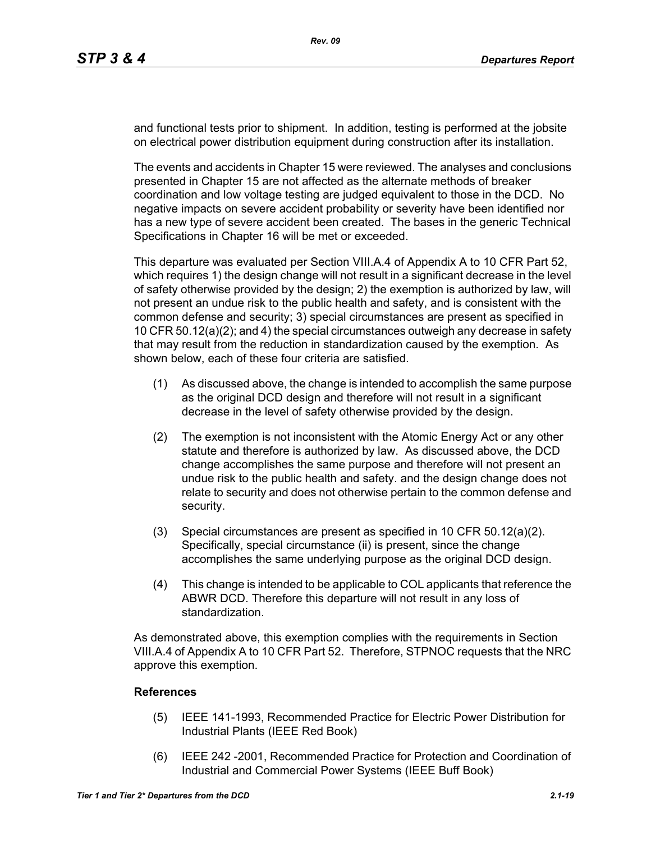and functional tests prior to shipment. In addition, testing is performed at the jobsite on electrical power distribution equipment during construction after its installation.

The events and accidents in Chapter 15 were reviewed. The analyses and conclusions presented in Chapter 15 are not affected as the alternate methods of breaker coordination and low voltage testing are judged equivalent to those in the DCD. No negative impacts on severe accident probability or severity have been identified nor has a new type of severe accident been created. The bases in the generic Technical Specifications in Chapter 16 will be met or exceeded.

This departure was evaluated per Section VIII.A.4 of Appendix A to 10 CFR Part 52, which requires 1) the design change will not result in a significant decrease in the level of safety otherwise provided by the design; 2) the exemption is authorized by law, will not present an undue risk to the public health and safety, and is consistent with the common defense and security; 3) special circumstances are present as specified in 10 CFR 50.12(a)(2); and 4) the special circumstances outweigh any decrease in safety that may result from the reduction in standardization caused by the exemption. As shown below, each of these four criteria are satisfied.

- (1) As discussed above, the change is intended to accomplish the same purpose as the original DCD design and therefore will not result in a significant decrease in the level of safety otherwise provided by the design.
- (2) The exemption is not inconsistent with the Atomic Energy Act or any other statute and therefore is authorized by law. As discussed above, the DCD change accomplishes the same purpose and therefore will not present an undue risk to the public health and safety. and the design change does not relate to security and does not otherwise pertain to the common defense and security.
- (3) Special circumstances are present as specified in 10 CFR 50.12(a)(2). Specifically, special circumstance (ii) is present, since the change accomplishes the same underlying purpose as the original DCD design.
- (4) This change is intended to be applicable to COL applicants that reference the ABWR DCD. Therefore this departure will not result in any loss of standardization.

As demonstrated above, this exemption complies with the requirements in Section VIII.A.4 of Appendix A to 10 CFR Part 52. Therefore, STPNOC requests that the NRC approve this exemption.

## **References**

- (5) IEEE 141-1993, Recommended Practice for Electric Power Distribution for Industrial Plants (IEEE Red Book)
- (6) IEEE 242 -2001, Recommended Practice for Protection and Coordination of Industrial and Commercial Power Systems (IEEE Buff Book)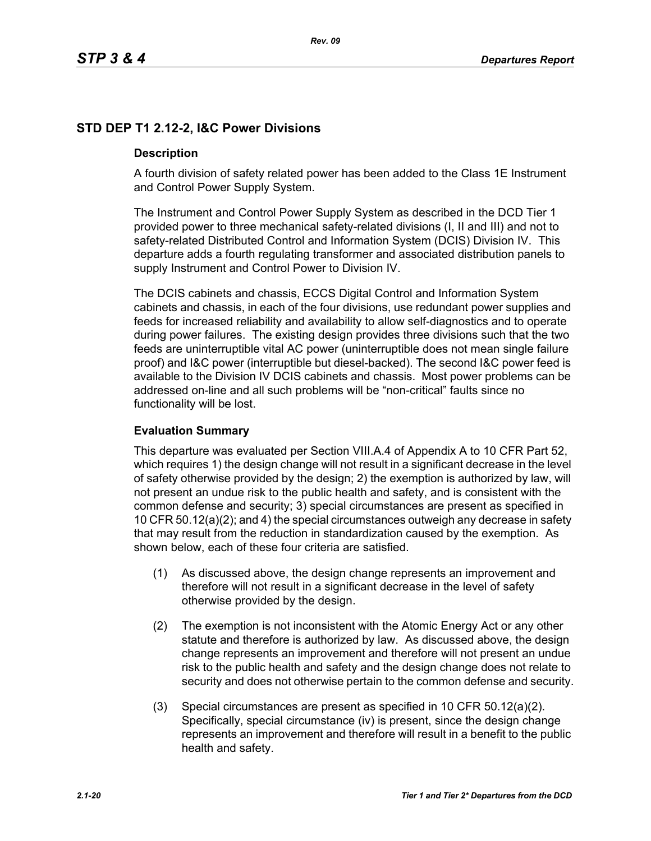# **STD DEP T1 2.12-2, I&C Power Divisions**

## **Description**

A fourth division of safety related power has been added to the Class 1E Instrument and Control Power Supply System.

The Instrument and Control Power Supply System as described in the DCD Tier 1 provided power to three mechanical safety-related divisions (I, II and III) and not to safety-related Distributed Control and Information System (DCIS) Division IV. This departure adds a fourth regulating transformer and associated distribution panels to supply Instrument and Control Power to Division IV.

The DCIS cabinets and chassis, ECCS Digital Control and Information System cabinets and chassis, in each of the four divisions, use redundant power supplies and feeds for increased reliability and availability to allow self-diagnostics and to operate during power failures. The existing design provides three divisions such that the two feeds are uninterruptible vital AC power (uninterruptible does not mean single failure proof) and I&C power (interruptible but diesel-backed). The second I&C power feed is available to the Division IV DCIS cabinets and chassis. Most power problems can be addressed on-line and all such problems will be "non-critical" faults since no functionality will be lost.

# **Evaluation Summary**

This departure was evaluated per Section VIII.A.4 of Appendix A to 10 CFR Part 52, which requires 1) the design change will not result in a significant decrease in the level of safety otherwise provided by the design; 2) the exemption is authorized by law, will not present an undue risk to the public health and safety, and is consistent with the common defense and security; 3) special circumstances are present as specified in 10 CFR 50.12(a)(2); and 4) the special circumstances outweigh any decrease in safety that may result from the reduction in standardization caused by the exemption. As shown below, each of these four criteria are satisfied.

- (1) As discussed above, the design change represents an improvement and therefore will not result in a significant decrease in the level of safety otherwise provided by the design.
- (2) The exemption is not inconsistent with the Atomic Energy Act or any other statute and therefore is authorized by law. As discussed above, the design change represents an improvement and therefore will not present an undue risk to the public health and safety and the design change does not relate to security and does not otherwise pertain to the common defense and security.
- (3) Special circumstances are present as specified in 10 CFR 50.12(a)(2). Specifically, special circumstance (iv) is present, since the design change represents an improvement and therefore will result in a benefit to the public health and safety.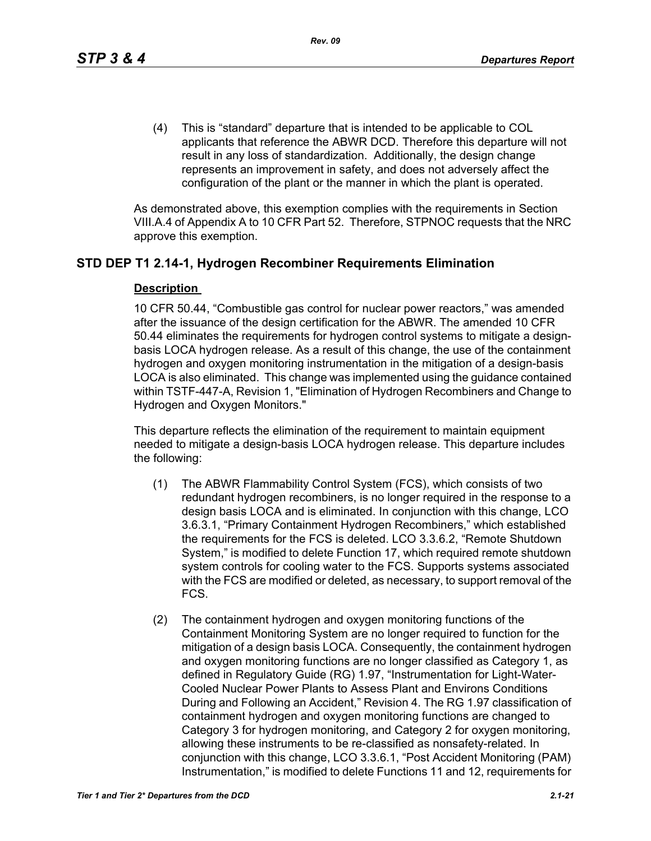(4) This is "standard" departure that is intended to be applicable to COL applicants that reference the ABWR DCD. Therefore this departure will not result in any loss of standardization. Additionally, the design change represents an improvement in safety, and does not adversely affect the configuration of the plant or the manner in which the plant is operated.

As demonstrated above, this exemption complies with the requirements in Section VIII.A.4 of Appendix A to 10 CFR Part 52. Therefore, STPNOC requests that the NRC approve this exemption.

# **STD DEP T1 2.14-1, Hydrogen Recombiner Requirements Elimination**

## **Description**

10 CFR 50.44, "Combustible gas control for nuclear power reactors," was amended after the issuance of the design certification for the ABWR. The amended 10 CFR 50.44 eliminates the requirements for hydrogen control systems to mitigate a designbasis LOCA hydrogen release. As a result of this change, the use of the containment hydrogen and oxygen monitoring instrumentation in the mitigation of a design-basis LOCA is also eliminated. This change was implemented using the guidance contained within TSTF-447-A, Revision 1, "Elimination of Hydrogen Recombiners and Change to Hydrogen and Oxygen Monitors."

This departure reflects the elimination of the requirement to maintain equipment needed to mitigate a design-basis LOCA hydrogen release. This departure includes the following:

- (1) The ABWR Flammability Control System (FCS), which consists of two redundant hydrogen recombiners, is no longer required in the response to a design basis LOCA and is eliminated. In conjunction with this change, LCO 3.6.3.1, "Primary Containment Hydrogen Recombiners," which established the requirements for the FCS is deleted. LCO 3.3.6.2, "Remote Shutdown System," is modified to delete Function 17, which required remote shutdown system controls for cooling water to the FCS. Supports systems associated with the FCS are modified or deleted, as necessary, to support removal of the FCS.
- (2) The containment hydrogen and oxygen monitoring functions of the Containment Monitoring System are no longer required to function for the mitigation of a design basis LOCA. Consequently, the containment hydrogen and oxygen monitoring functions are no longer classified as Category 1, as defined in Regulatory Guide (RG) 1.97, "Instrumentation for Light-Water-Cooled Nuclear Power Plants to Assess Plant and Environs Conditions During and Following an Accident," Revision 4. The RG 1.97 classification of containment hydrogen and oxygen monitoring functions are changed to Category 3 for hydrogen monitoring, and Category 2 for oxygen monitoring, allowing these instruments to be re-classified as nonsafety-related. In conjunction with this change, LCO 3.3.6.1, "Post Accident Monitoring (PAM) Instrumentation," is modified to delete Functions 11 and 12, requirements for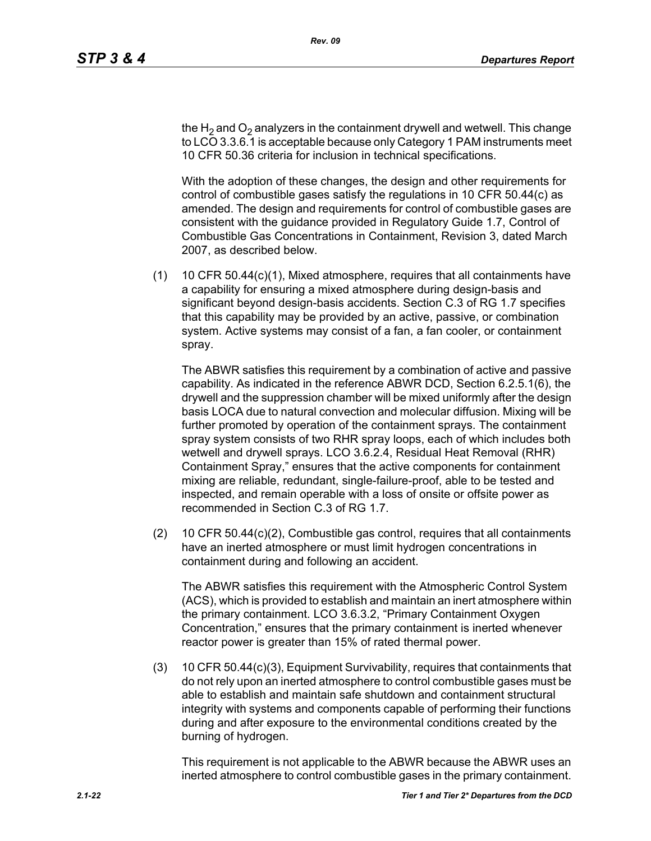the H<sub>2</sub> and O<sub>2</sub> analyzers in the containment drywell and wetwell. This change to LCO 3.3.6.1 is acceptable because only Category 1 PAM instruments meet 10 CFR 50.36 criteria for inclusion in technical specifications.

With the adoption of these changes, the design and other requirements for control of combustible gases satisfy the regulations in 10 CFR 50.44(c) as amended. The design and requirements for control of combustible gases are consistent with the guidance provided in Regulatory Guide 1.7, Control of Combustible Gas Concentrations in Containment, Revision 3, dated March 2007, as described below.

(1) 10 CFR 50.44(c)(1), Mixed atmosphere, requires that all containments have a capability for ensuring a mixed atmosphere during design-basis and significant beyond design-basis accidents. Section C.3 of RG 1.7 specifies that this capability may be provided by an active, passive, or combination system. Active systems may consist of a fan, a fan cooler, or containment spray.

The ABWR satisfies this requirement by a combination of active and passive capability. As indicated in the reference ABWR DCD, Section 6.2.5.1(6), the drywell and the suppression chamber will be mixed uniformly after the design basis LOCA due to natural convection and molecular diffusion. Mixing will be further promoted by operation of the containment sprays. The containment spray system consists of two RHR spray loops, each of which includes both wetwell and drywell sprays. LCO 3.6.2.4, Residual Heat Removal (RHR) Containment Spray," ensures that the active components for containment mixing are reliable, redundant, single-failure-proof, able to be tested and inspected, and remain operable with a loss of onsite or offsite power as recommended in Section C.3 of RG 1.7.

(2) 10 CFR 50.44(c)(2), Combustible gas control, requires that all containments have an inerted atmosphere or must limit hydrogen concentrations in containment during and following an accident.

The ABWR satisfies this requirement with the Atmospheric Control System (ACS), which is provided to establish and maintain an inert atmosphere within the primary containment. LCO 3.6.3.2, "Primary Containment Oxygen Concentration," ensures that the primary containment is inerted whenever reactor power is greater than 15% of rated thermal power.

(3) 10 CFR 50.44(c)(3), Equipment Survivability, requires that containments that do not rely upon an inerted atmosphere to control combustible gases must be able to establish and maintain safe shutdown and containment structural integrity with systems and components capable of performing their functions during and after exposure to the environmental conditions created by the burning of hydrogen.

This requirement is not applicable to the ABWR because the ABWR uses an inerted atmosphere to control combustible gases in the primary containment.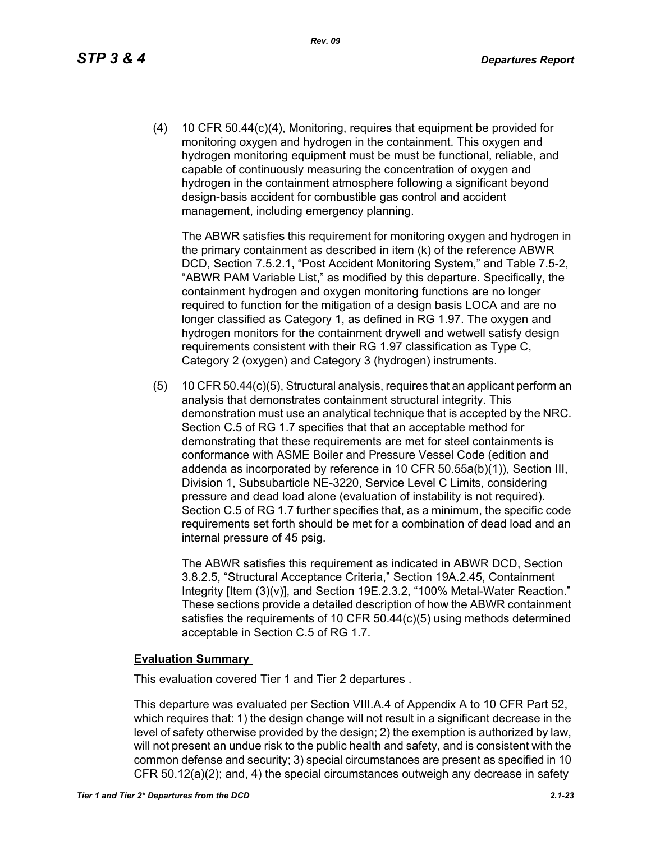(4) 10 CFR 50.44(c)(4), Monitoring, requires that equipment be provided for monitoring oxygen and hydrogen in the containment. This oxygen and hydrogen monitoring equipment must be must be functional, reliable, and capable of continuously measuring the concentration of oxygen and hydrogen in the containment atmosphere following a significant beyond design-basis accident for combustible gas control and accident management, including emergency planning.

The ABWR satisfies this requirement for monitoring oxygen and hydrogen in the primary containment as described in item (k) of the reference ABWR DCD, Section 7.5.2.1, "Post Accident Monitoring System," and Table 7.5-2, "ABWR PAM Variable List," as modified by this departure. Specifically, the containment hydrogen and oxygen monitoring functions are no longer required to function for the mitigation of a design basis LOCA and are no longer classified as Category 1, as defined in RG 1.97. The oxygen and hydrogen monitors for the containment drywell and wetwell satisfy design requirements consistent with their RG 1.97 classification as Type C, Category 2 (oxygen) and Category 3 (hydrogen) instruments.

(5) 10 CFR 50.44(c)(5), Structural analysis, requires that an applicant perform an analysis that demonstrates containment structural integrity. This demonstration must use an analytical technique that is accepted by the NRC. Section C.5 of RG 1.7 specifies that that an acceptable method for demonstrating that these requirements are met for steel containments is conformance with ASME Boiler and Pressure Vessel Code (edition and addenda as incorporated by reference in 10 CFR 50.55a(b)(1)), Section III, Division 1, Subsubarticle NE-3220, Service Level C Limits, considering pressure and dead load alone (evaluation of instability is not required). Section C.5 of RG 1.7 further specifies that, as a minimum, the specific code requirements set forth should be met for a combination of dead load and an internal pressure of 45 psig.

The ABWR satisfies this requirement as indicated in ABWR DCD, Section 3.8.2.5, "Structural Acceptance Criteria," Section 19A.2.45, Containment Integrity [Item (3)(v)], and Section 19E.2.3.2, "100% Metal-Water Reaction." These sections provide a detailed description of how the ABWR containment satisfies the requirements of 10 CFR 50.44(c)(5) using methods determined acceptable in Section C.5 of RG 1.7.

## **Evaluation Summary**

This evaluation covered Tier 1 and Tier 2 departures .

This departure was evaluated per Section VIII.A.4 of Appendix A to 10 CFR Part 52, which requires that: 1) the design change will not result in a significant decrease in the level of safety otherwise provided by the design; 2) the exemption is authorized by law, will not present an undue risk to the public health and safety, and is consistent with the common defense and security; 3) special circumstances are present as specified in 10 CFR 50.12(a)(2); and, 4) the special circumstances outweigh any decrease in safety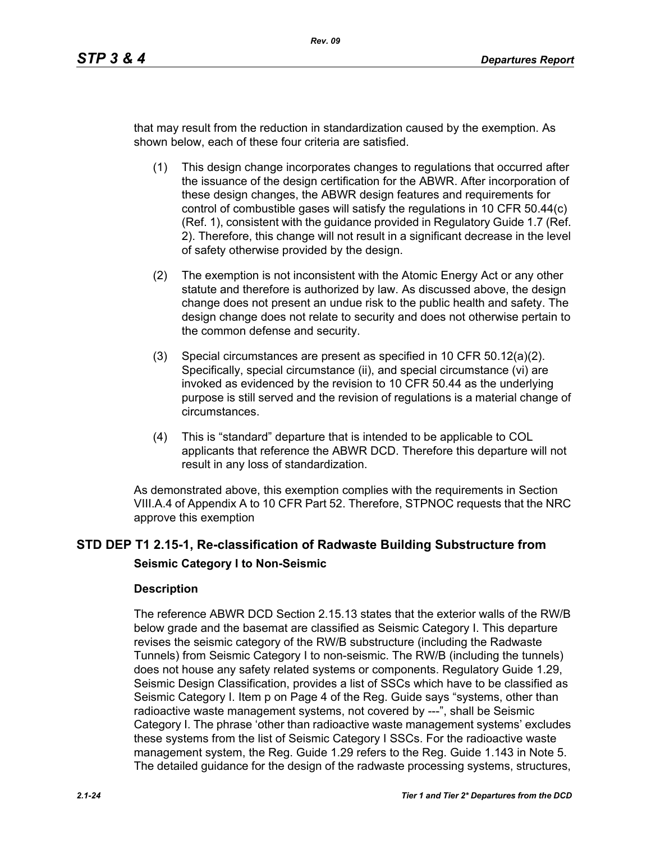that may result from the reduction in standardization caused by the exemption. As shown below, each of these four criteria are satisfied.

- (1) This design change incorporates changes to regulations that occurred after the issuance of the design certification for the ABWR. After incorporation of these design changes, the ABWR design features and requirements for control of combustible gases will satisfy the regulations in 10 CFR 50.44(c) (Ref. 1), consistent with the guidance provided in Regulatory Guide 1.7 (Ref. 2). Therefore, this change will not result in a significant decrease in the level of safety otherwise provided by the design.
- (2) The exemption is not inconsistent with the Atomic Energy Act or any other statute and therefore is authorized by law. As discussed above, the design change does not present an undue risk to the public health and safety. The design change does not relate to security and does not otherwise pertain to the common defense and security.
- (3) Special circumstances are present as specified in 10 CFR 50.12(a)(2). Specifically, special circumstance (ii), and special circumstance (vi) are invoked as evidenced by the revision to 10 CFR 50.44 as the underlying purpose is still served and the revision of regulations is a material change of circumstances.
- (4) This is "standard" departure that is intended to be applicable to COL applicants that reference the ABWR DCD. Therefore this departure will not result in any loss of standardization.

As demonstrated above, this exemption complies with the requirements in Section VIII.A.4 of Appendix A to 10 CFR Part 52. Therefore, STPNOC requests that the NRC approve this exemption

# **STD DEP T1 2.15-1, Re-classification of Radwaste Building Substructure from Seismic Category I to Non-Seismic**

## **Description**

The reference ABWR DCD Section 2.15.13 states that the exterior walls of the RW/B below grade and the basemat are classified as Seismic Category I. This departure revises the seismic category of the RW/B substructure (including the Radwaste Tunnels) from Seismic Category I to non-seismic. The RW/B (including the tunnels) does not house any safety related systems or components. Regulatory Guide 1.29, Seismic Design Classification, provides a list of SSCs which have to be classified as Seismic Category I. Item p on Page 4 of the Reg. Guide says "systems, other than radioactive waste management systems, not covered by ---", shall be Seismic Category I. The phrase 'other than radioactive waste management systems' excludes these systems from the list of Seismic Category I SSCs. For the radioactive waste management system, the Reg. Guide 1.29 refers to the Reg. Guide 1.143 in Note 5. The detailed guidance for the design of the radwaste processing systems, structures,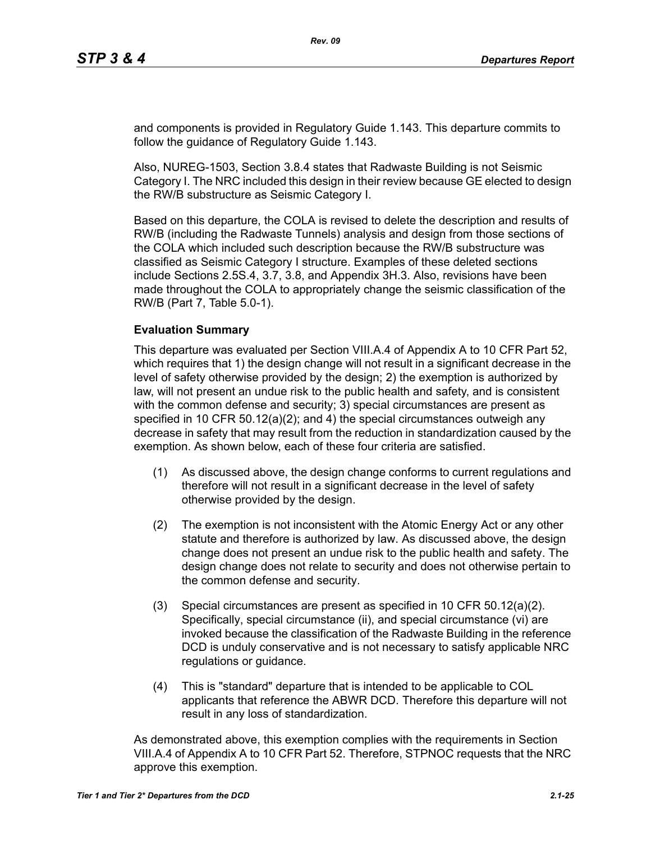and components is provided in Regulatory Guide 1.143. This departure commits to follow the guidance of Regulatory Guide 1.143.

Also, NUREG-1503, Section 3.8.4 states that Radwaste Building is not Seismic Category I. The NRC included this design in their review because GE elected to design the RW/B substructure as Seismic Category I.

Based on this departure, the COLA is revised to delete the description and results of RW/B (including the Radwaste Tunnels) analysis and design from those sections of the COLA which included such description because the RW/B substructure was classified as Seismic Category I structure. Examples of these deleted sections include Sections 2.5S.4, 3.7, 3.8, and Appendix 3H.3. Also, revisions have been made throughout the COLA to appropriately change the seismic classification of the RW/B (Part 7, Table 5.0-1).

#### **Evaluation Summary**

This departure was evaluated per Section VIII.A.4 of Appendix A to 10 CFR Part 52, which requires that 1) the design change will not result in a significant decrease in the level of safety otherwise provided by the design; 2) the exemption is authorized by law, will not present an undue risk to the public health and safety, and is consistent with the common defense and security; 3) special circumstances are present as specified in 10 CFR 50.12(a)(2); and 4) the special circumstances outweigh any decrease in safety that may result from the reduction in standardization caused by the exemption. As shown below, each of these four criteria are satisfied.

- (1) As discussed above, the design change conforms to current regulations and therefore will not result in a significant decrease in the level of safety otherwise provided by the design.
- (2) The exemption is not inconsistent with the Atomic Energy Act or any other statute and therefore is authorized by law. As discussed above, the design change does not present an undue risk to the public health and safety. The design change does not relate to security and does not otherwise pertain to the common defense and security.
- (3) Special circumstances are present as specified in 10 CFR 50.12(a)(2). Specifically, special circumstance (ii), and special circumstance (vi) are invoked because the classification of the Radwaste Building in the reference DCD is unduly conservative and is not necessary to satisfy applicable NRC regulations or guidance.
- (4) This is "standard" departure that is intended to be applicable to COL applicants that reference the ABWR DCD. Therefore this departure will not result in any loss of standardization.

As demonstrated above, this exemption complies with the requirements in Section VIII.A.4 of Appendix A to 10 CFR Part 52. Therefore, STPNOC requests that the NRC approve this exemption.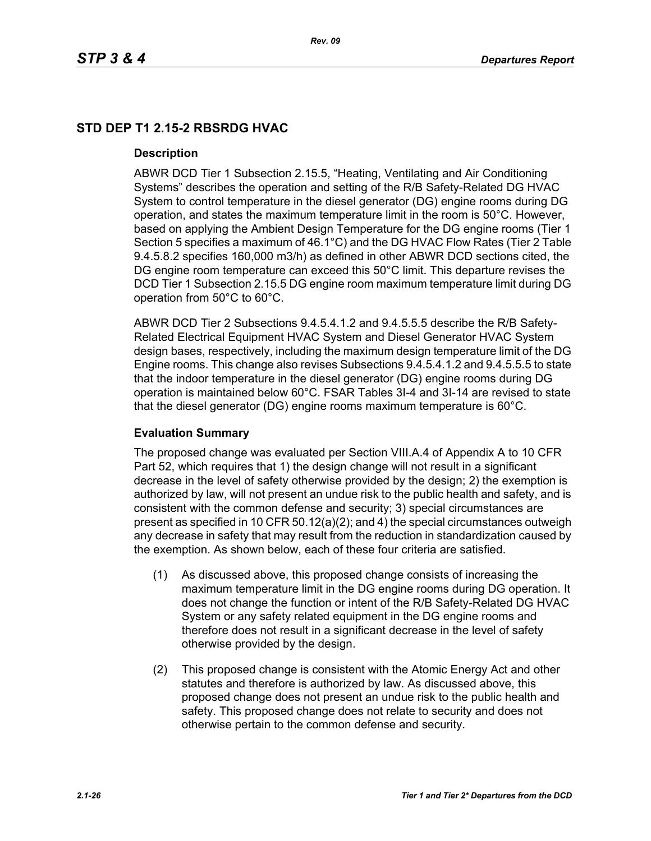# **STD DEP T1 2.15-2 RBSRDG HVAC**

#### **Description**

ABWR DCD Tier 1 Subsection 2.15.5, "Heating, Ventilating and Air Conditioning Systems" describes the operation and setting of the R/B Safety-Related DG HVAC System to control temperature in the diesel generator (DG) engine rooms during DG operation, and states the maximum temperature limit in the room is 50°C. However, based on applying the Ambient Design Temperature for the DG engine rooms (Tier 1 Section 5 specifies a maximum of 46.1°C) and the DG HVAC Flow Rates (Tier 2 Table 9.4.5.8.2 specifies 160,000 m3/h) as defined in other ABWR DCD sections cited, the DG engine room temperature can exceed this 50°C limit. This departure revises the DCD Tier 1 Subsection 2.15.5 DG engine room maximum temperature limit during DG operation from 50°C to 60°C.

ABWR DCD Tier 2 Subsections 9.4.5.4.1.2 and 9.4.5.5.5 describe the R/B Safety-Related Electrical Equipment HVAC System and Diesel Generator HVAC System design bases, respectively, including the maximum design temperature limit of the DG Engine rooms. This change also revises Subsections 9.4.5.4.1.2 and 9.4.5.5.5 to state that the indoor temperature in the diesel generator (DG) engine rooms during DG operation is maintained below 60°C. FSAR Tables 3I-4 and 3I-14 are revised to state that the diesel generator (DG) engine rooms maximum temperature is 60°C.

## **Evaluation Summary**

The proposed change was evaluated per Section VIII.A.4 of Appendix A to 10 CFR Part 52, which requires that 1) the design change will not result in a significant decrease in the level of safety otherwise provided by the design; 2) the exemption is authorized by law, will not present an undue risk to the public health and safety, and is consistent with the common defense and security; 3) special circumstances are present as specified in 10 CFR 50.12(a)(2); and 4) the special circumstances outweigh any decrease in safety that may result from the reduction in standardization caused by the exemption. As shown below, each of these four criteria are satisfied.

- (1) As discussed above, this proposed change consists of increasing the maximum temperature limit in the DG engine rooms during DG operation. It does not change the function or intent of the R/B Safety-Related DG HVAC System or any safety related equipment in the DG engine rooms and therefore does not result in a significant decrease in the level of safety otherwise provided by the design.
- (2) This proposed change is consistent with the Atomic Energy Act and other statutes and therefore is authorized by law. As discussed above, this proposed change does not present an undue risk to the public health and safety. This proposed change does not relate to security and does not otherwise pertain to the common defense and security.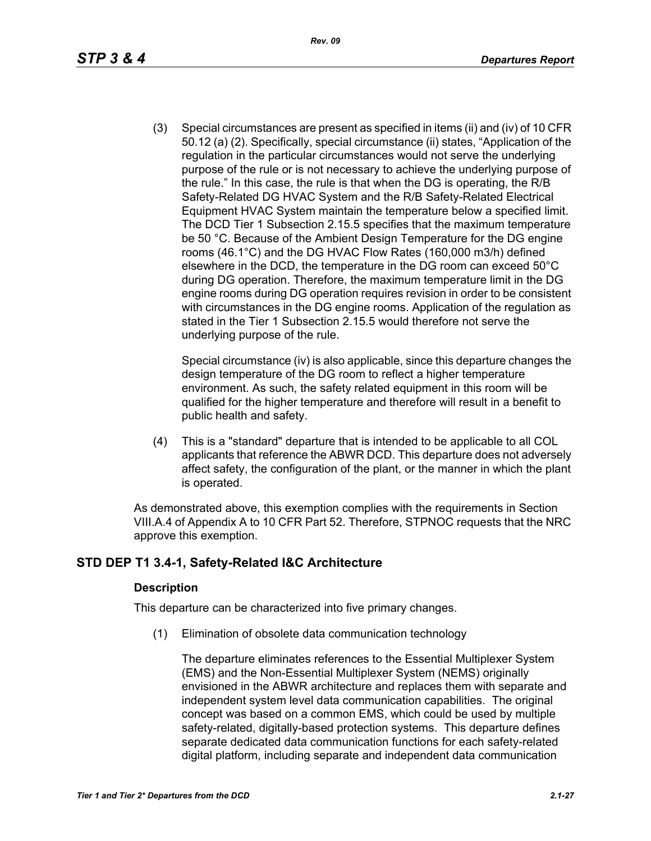(3) Special circumstances are present as specified in items (ii) and (iv) of 10 CFR 50.12 (a) (2). Specifically, special circumstance (ii) states, "Application of the regulation in the particular circumstances would not serve the underlying purpose of the rule or is not necessary to achieve the underlying purpose of the rule." In this case, the rule is that when the DG is operating, the R/B Safety-Related DG HVAC System and the R/B Safety-Related Electrical Equipment HVAC System maintain the temperature below a specified limit. The DCD Tier 1 Subsection 2.15.5 specifies that the maximum temperature be 50 °C. Because of the Ambient Design Temperature for the DG engine rooms (46.1°C) and the DG HVAC Flow Rates (160,000 m3/h) defined elsewhere in the DCD, the temperature in the DG room can exceed 50°C during DG operation. Therefore, the maximum temperature limit in the DG engine rooms during DG operation requires revision in order to be consistent with circumstances in the DG engine rooms. Application of the regulation as stated in the Tier 1 Subsection 2.15.5 would therefore not serve the underlying purpose of the rule.

Special circumstance (iv) is also applicable, since this departure changes the design temperature of the DG room to reflect a higher temperature environment. As such, the safety related equipment in this room will be qualified for the higher temperature and therefore will result in a benefit to public health and safety.

(4) This is a "standard" departure that is intended to be applicable to all COL applicants that reference the ABWR DCD. This departure does not adversely affect safety, the configuration of the plant, or the manner in which the plant is operated.

As demonstrated above, this exemption complies with the requirements in Section VIII.A.4 of Appendix A to 10 CFR Part 52. Therefore, STPNOC requests that the NRC approve this exemption.

# **STD DEP T1 3.4-1, Safety-Related I&C Architecture**

## **Description**

This departure can be characterized into five primary changes.

(1) Elimination of obsolete data communication technology

The departure eliminates references to the Essential Multiplexer System (EMS) and the Non-Essential Multiplexer System (NEMS) originally envisioned in the ABWR architecture and replaces them with separate and independent system level data communication capabilities. The original concept was based on a common EMS, which could be used by multiple safety-related, digitally-based protection systems. This departure defines separate dedicated data communication functions for each safety-related digital platform, including separate and independent data communication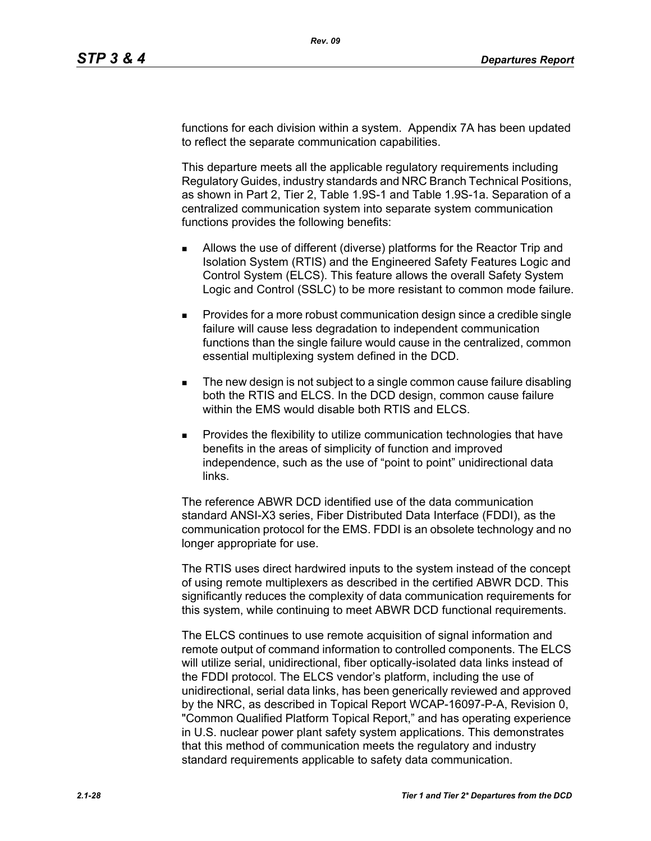functions for each division within a system. Appendix 7A has been updated to reflect the separate communication capabilities.

This departure meets all the applicable regulatory requirements including Regulatory Guides, industry standards and NRC Branch Technical Positions, as shown in Part 2, Tier 2, Table 1.9S-1 and Table 1.9S-1a. Separation of a centralized communication system into separate system communication functions provides the following benefits:

- Allows the use of different (diverse) platforms for the Reactor Trip and Isolation System (RTIS) and the Engineered Safety Features Logic and Control System (ELCS). This feature allows the overall Safety System Logic and Control (SSLC) to be more resistant to common mode failure.
- **Provides for a more robust communication design since a credible single** failure will cause less degradation to independent communication functions than the single failure would cause in the centralized, common essential multiplexing system defined in the DCD.
- The new design is not subject to a single common cause failure disabling both the RTIS and ELCS. In the DCD design, common cause failure within the EMS would disable both RTIS and ELCS.
- Provides the flexibility to utilize communication technologies that have benefits in the areas of simplicity of function and improved independence, such as the use of "point to point" unidirectional data links.

The reference ABWR DCD identified use of the data communication standard ANSI-X3 series, Fiber Distributed Data Interface (FDDI), as the communication protocol for the EMS. FDDI is an obsolete technology and no longer appropriate for use.

The RTIS uses direct hardwired inputs to the system instead of the concept of using remote multiplexers as described in the certified ABWR DCD. This significantly reduces the complexity of data communication requirements for this system, while continuing to meet ABWR DCD functional requirements.

The ELCS continues to use remote acquisition of signal information and remote output of command information to controlled components. The ELCS will utilize serial, unidirectional, fiber optically-isolated data links instead of the FDDI protocol. The ELCS vendor's platform, including the use of unidirectional, serial data links, has been generically reviewed and approved by the NRC, as described in Topical Report WCAP-16097-P-A, Revision 0, "Common Qualified Platform Topical Report," and has operating experience in U.S. nuclear power plant safety system applications. This demonstrates that this method of communication meets the regulatory and industry standard requirements applicable to safety data communication.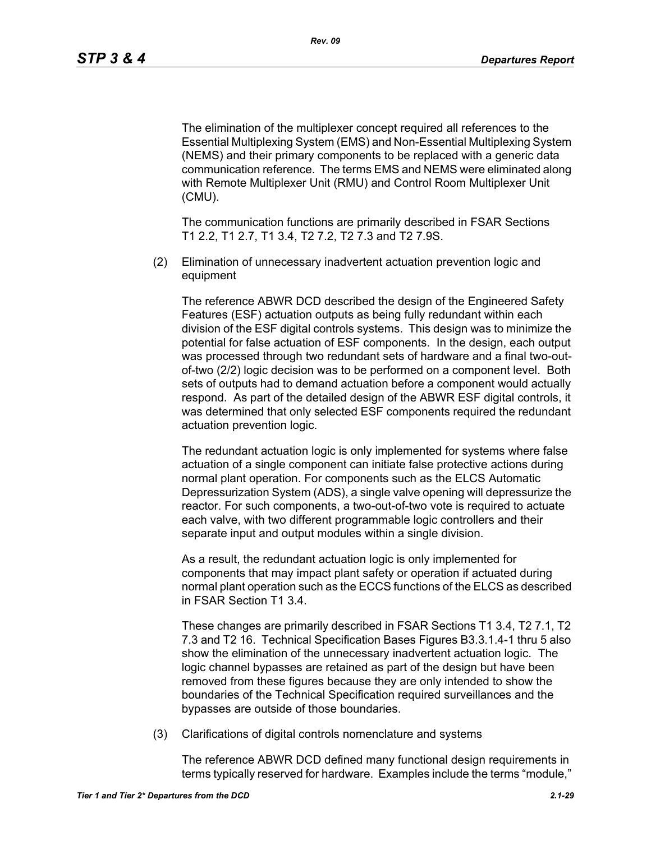The elimination of the multiplexer concept required all references to the Essential Multiplexing System (EMS) and Non-Essential Multiplexing System (NEMS) and their primary components to be replaced with a generic data communication reference. The terms EMS and NEMS were eliminated along with Remote Multiplexer Unit (RMU) and Control Room Multiplexer Unit (CMU).

The communication functions are primarily described in FSAR Sections T1 2.2, T1 2.7, T1 3.4, T2 7.2, T2 7.3 and T2 7.9S.

(2) Elimination of unnecessary inadvertent actuation prevention logic and equipment

The reference ABWR DCD described the design of the Engineered Safety Features (ESF) actuation outputs as being fully redundant within each division of the ESF digital controls systems. This design was to minimize the potential for false actuation of ESF components. In the design, each output was processed through two redundant sets of hardware and a final two-outof-two (2/2) logic decision was to be performed on a component level. Both sets of outputs had to demand actuation before a component would actually respond. As part of the detailed design of the ABWR ESF digital controls, it was determined that only selected ESF components required the redundant actuation prevention logic.

The redundant actuation logic is only implemented for systems where false actuation of a single component can initiate false protective actions during normal plant operation. For components such as the ELCS Automatic Depressurization System (ADS), a single valve opening will depressurize the reactor. For such components, a two-out-of-two vote is required to actuate each valve, with two different programmable logic controllers and their separate input and output modules within a single division.

As a result, the redundant actuation logic is only implemented for components that may impact plant safety or operation if actuated during normal plant operation such as the ECCS functions of the ELCS as described in FSAR Section T1 3.4.

These changes are primarily described in FSAR Sections T1 3.4, T2 7.1, T2 7.3 and T2 16. Technical Specification Bases Figures B3.3.1.4-1 thru 5 also show the elimination of the unnecessary inadvertent actuation logic. The logic channel bypasses are retained as part of the design but have been removed from these figures because they are only intended to show the boundaries of the Technical Specification required surveillances and the bypasses are outside of those boundaries.

(3) Clarifications of digital controls nomenclature and systems

The reference ABWR DCD defined many functional design requirements in terms typically reserved for hardware. Examples include the terms "module,"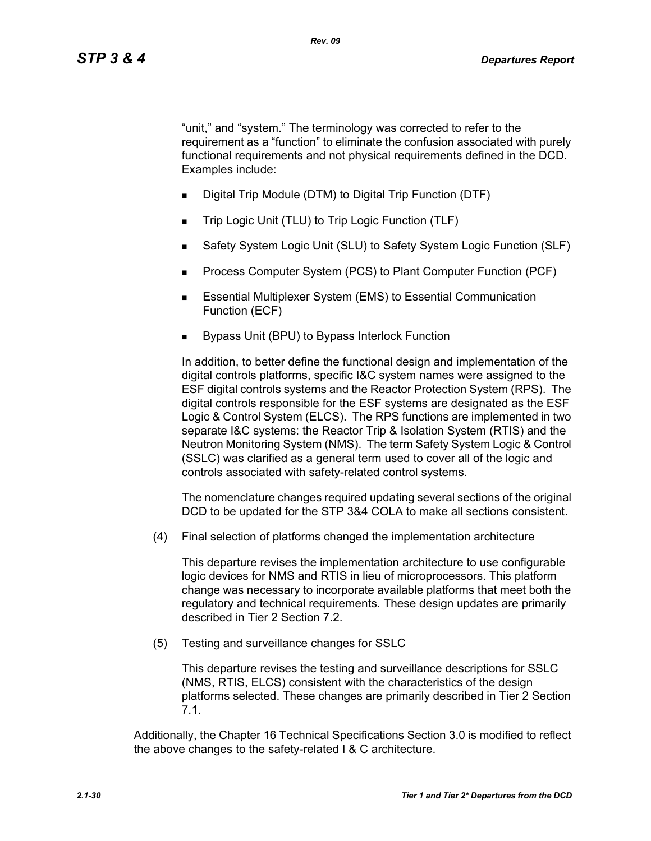"unit," and "system." The terminology was corrected to refer to the requirement as a "function" to eliminate the confusion associated with purely functional requirements and not physical requirements defined in the DCD. Examples include:

- Digital Trip Module (DTM) to Digital Trip Function (DTF)
- Trip Logic Unit (TLU) to Trip Logic Function (TLF)
- Safety System Logic Unit (SLU) to Safety System Logic Function (SLF)
- Process Computer System (PCS) to Plant Computer Function (PCF)
- **Essential Multiplexer System (EMS) to Essential Communication** Function (ECF)
- Bypass Unit (BPU) to Bypass Interlock Function

In addition, to better define the functional design and implementation of the digital controls platforms, specific I&C system names were assigned to the ESF digital controls systems and the Reactor Protection System (RPS). The digital controls responsible for the ESF systems are designated as the ESF Logic & Control System (ELCS). The RPS functions are implemented in two separate I&C systems: the Reactor Trip & Isolation System (RTIS) and the Neutron Monitoring System (NMS). The term Safety System Logic & Control (SSLC) was clarified as a general term used to cover all of the logic and controls associated with safety-related control systems.

The nomenclature changes required updating several sections of the original DCD to be updated for the STP 3&4 COLA to make all sections consistent.

(4) Final selection of platforms changed the implementation architecture

This departure revises the implementation architecture to use configurable logic devices for NMS and RTIS in lieu of microprocessors. This platform change was necessary to incorporate available platforms that meet both the regulatory and technical requirements. These design updates are primarily described in Tier 2 Section 7.2.

(5) Testing and surveillance changes for SSLC

This departure revises the testing and surveillance descriptions for SSLC (NMS, RTIS, ELCS) consistent with the characteristics of the design platforms selected. These changes are primarily described in Tier 2 Section 7.1.

Additionally, the Chapter 16 Technical Specifications Section 3.0 is modified to reflect the above changes to the safety-related I & C architecture.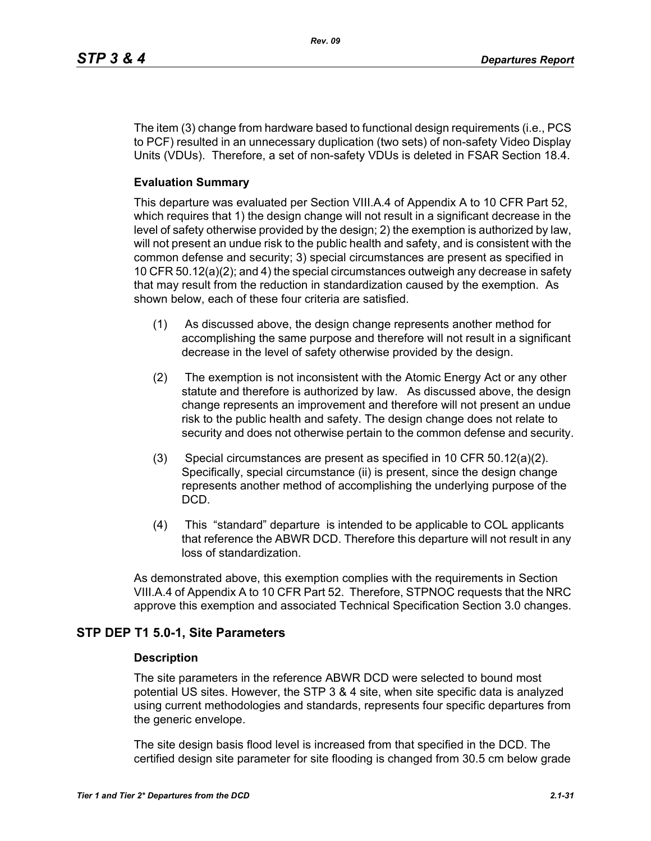The item (3) change from hardware based to functional design requirements (i.e., PCS to PCF) resulted in an unnecessary duplication (two sets) of non-safety Video Display Units (VDUs). Therefore, a set of non-safety VDUs is deleted in FSAR Section 18.4.

## **Evaluation Summary**

This departure was evaluated per Section VIII.A.4 of Appendix A to 10 CFR Part 52, which requires that 1) the design change will not result in a significant decrease in the level of safety otherwise provided by the design; 2) the exemption is authorized by law, will not present an undue risk to the public health and safety, and is consistent with the common defense and security; 3) special circumstances are present as specified in 10 CFR 50.12(a)(2); and 4) the special circumstances outweigh any decrease in safety that may result from the reduction in standardization caused by the exemption. As shown below, each of these four criteria are satisfied.

- (1) As discussed above, the design change represents another method for accomplishing the same purpose and therefore will not result in a significant decrease in the level of safety otherwise provided by the design.
- (2) The exemption is not inconsistent with the Atomic Energy Act or any other statute and therefore is authorized by law. As discussed above, the design change represents an improvement and therefore will not present an undue risk to the public health and safety. The design change does not relate to security and does not otherwise pertain to the common defense and security.
- (3) Special circumstances are present as specified in 10 CFR 50.12(a)(2). Specifically, special circumstance (ii) is present, since the design change represents another method of accomplishing the underlying purpose of the DCD.
- (4) This "standard" departure is intended to be applicable to COL applicants that reference the ABWR DCD. Therefore this departure will not result in any loss of standardization.

As demonstrated above, this exemption complies with the requirements in Section VIII.A.4 of Appendix A to 10 CFR Part 52. Therefore, STPNOC requests that the NRC approve this exemption and associated Technical Specification Section 3.0 changes.

## **STP DEP T1 5.0-1, Site Parameters**

#### **Description**

The site parameters in the reference ABWR DCD were selected to bound most potential US sites. However, the STP 3 & 4 site, when site specific data is analyzed using current methodologies and standards, represents four specific departures from the generic envelope.

The site design basis flood level is increased from that specified in the DCD. The certified design site parameter for site flooding is changed from 30.5 cm below grade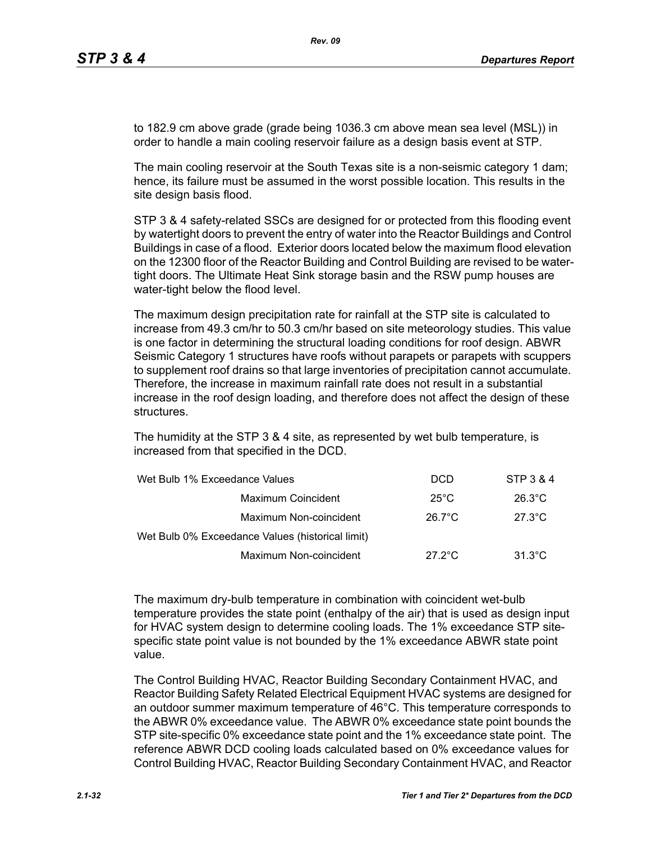to 182.9 cm above grade (grade being 1036.3 cm above mean sea level (MSL)) in order to handle a main cooling reservoir failure as a design basis event at STP.

The main cooling reservoir at the South Texas site is a non-seismic category 1 dam; hence, its failure must be assumed in the worst possible location. This results in the site design basis flood.

STP 3 & 4 safety-related SSCs are designed for or protected from this flooding event by watertight doors to prevent the entry of water into the Reactor Buildings and Control Buildings in case of a flood. Exterior doors located below the maximum flood elevation on the 12300 floor of the Reactor Building and Control Building are revised to be watertight doors. The Ultimate Heat Sink storage basin and the RSW pump houses are water-tight below the flood level.

The maximum design precipitation rate for rainfall at the STP site is calculated to increase from 49.3 cm/hr to 50.3 cm/hr based on site meteorology studies. This value is one factor in determining the structural loading conditions for roof design. ABWR Seismic Category 1 structures have roofs without parapets or parapets with scuppers to supplement roof drains so that large inventories of precipitation cannot accumulate. Therefore, the increase in maximum rainfall rate does not result in a substantial increase in the roof design loading, and therefore does not affect the design of these structures.

The humidity at the STP 3 & 4 site, as represented by wet bulb temperature, is increased from that specified in the DCD.

| Wet Bulb 1% Exceedance Values                    | <b>DCD</b>       | STP 3 & 4        |
|--------------------------------------------------|------------------|------------------|
| Maximum Coincident                               | $25^{\circ}$ C   | $26.3^{\circ}$ C |
| Maximum Non-coincident                           | $26.7^{\circ}$ C | $27.3^{\circ}$ C |
| Wet Bulb 0% Exceedance Values (historical limit) |                  |                  |
| Maximum Non-coincident                           | $27.2^{\circ}$ C | $31.3^{\circ}$ C |

The maximum dry-bulb temperature in combination with coincident wet-bulb temperature provides the state point (enthalpy of the air) that is used as design input for HVAC system design to determine cooling loads. The 1% exceedance STP sitespecific state point value is not bounded by the 1% exceedance ABWR state point value.

The Control Building HVAC, Reactor Building Secondary Containment HVAC, and Reactor Building Safety Related Electrical Equipment HVAC systems are designed for an outdoor summer maximum temperature of 46°C. This temperature corresponds to the ABWR 0% exceedance value. The ABWR 0% exceedance state point bounds the STP site-specific 0% exceedance state point and the 1% exceedance state point. The reference ABWR DCD cooling loads calculated based on 0% exceedance values for Control Building HVAC, Reactor Building Secondary Containment HVAC, and Reactor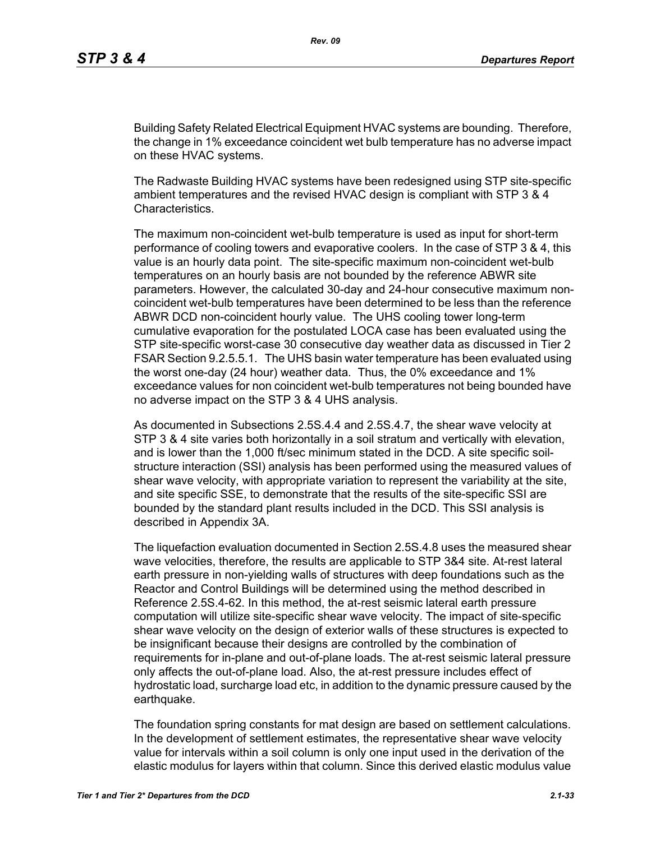Building Safety Related Electrical Equipment HVAC systems are bounding. Therefore, the change in 1% exceedance coincident wet bulb temperature has no adverse impact on these HVAC systems.

The Radwaste Building HVAC systems have been redesigned using STP site-specific ambient temperatures and the revised HVAC design is compliant with STP 3 & 4 Characteristics.

The maximum non-coincident wet-bulb temperature is used as input for short-term performance of cooling towers and evaporative coolers. In the case of STP 3 & 4, this value is an hourly data point. The site-specific maximum non-coincident wet-bulb temperatures on an hourly basis are not bounded by the reference ABWR site parameters. However, the calculated 30-day and 24-hour consecutive maximum noncoincident wet-bulb temperatures have been determined to be less than the reference ABWR DCD non-coincident hourly value. The UHS cooling tower long-term cumulative evaporation for the postulated LOCA case has been evaluated using the STP site-specific worst-case 30 consecutive day weather data as discussed in Tier 2 FSAR Section 9.2.5.5.1. The UHS basin water temperature has been evaluated using the worst one-day (24 hour) weather data. Thus, the 0% exceedance and 1% exceedance values for non coincident wet-bulb temperatures not being bounded have no adverse impact on the STP 3 & 4 UHS analysis.

As documented in Subsections 2.5S.4.4 and 2.5S.4.7, the shear wave velocity at STP 3 & 4 site varies both horizontally in a soil stratum and vertically with elevation, and is lower than the 1,000 ft/sec minimum stated in the DCD. A site specific soilstructure interaction (SSI) analysis has been performed using the measured values of shear wave velocity, with appropriate variation to represent the variability at the site, and site specific SSE, to demonstrate that the results of the site-specific SSI are bounded by the standard plant results included in the DCD. This SSI analysis is described in Appendix 3A.

The liquefaction evaluation documented in Section 2.5S.4.8 uses the measured shear wave velocities, therefore, the results are applicable to STP 3&4 site. At-rest lateral earth pressure in non-yielding walls of structures with deep foundations such as the Reactor and Control Buildings will be determined using the method described in Reference 2.5S.4-62. In this method, the at-rest seismic lateral earth pressure computation will utilize site-specific shear wave velocity. The impact of site-specific shear wave velocity on the design of exterior walls of these structures is expected to be insignificant because their designs are controlled by the combination of requirements for in-plane and out-of-plane loads. The at-rest seismic lateral pressure only affects the out-of-plane load. Also, the at-rest pressure includes effect of hydrostatic load, surcharge load etc, in addition to the dynamic pressure caused by the earthquake.

The foundation spring constants for mat design are based on settlement calculations. In the development of settlement estimates, the representative shear wave velocity value for intervals within a soil column is only one input used in the derivation of the elastic modulus for layers within that column. Since this derived elastic modulus value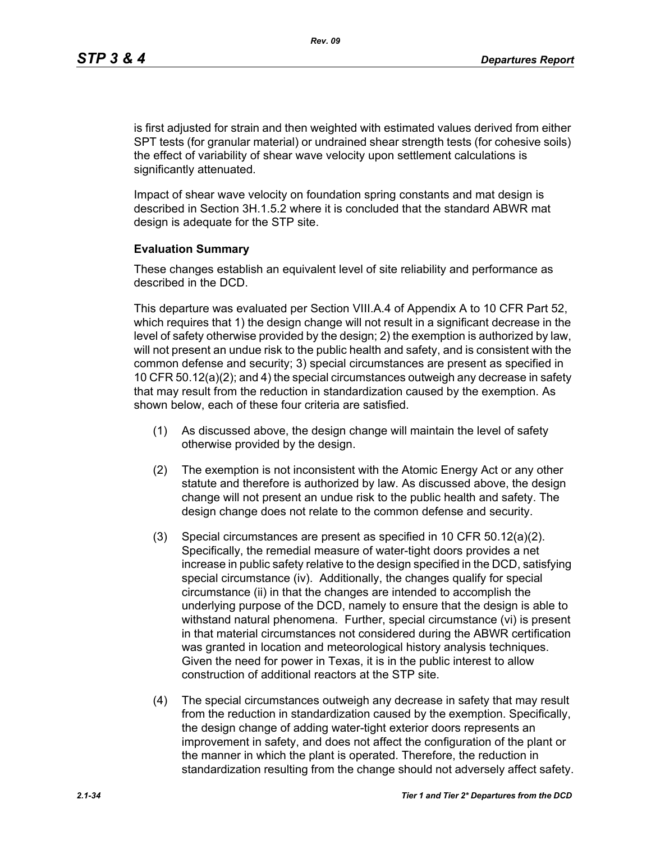is first adjusted for strain and then weighted with estimated values derived from either SPT tests (for granular material) or undrained shear strength tests (for cohesive soils) the effect of variability of shear wave velocity upon settlement calculations is significantly attenuated.

Impact of shear wave velocity on foundation spring constants and mat design is described in Section 3H.1.5.2 where it is concluded that the standard ABWR mat design is adequate for the STP site.

#### **Evaluation Summary**

These changes establish an equivalent level of site reliability and performance as described in the DCD.

This departure was evaluated per Section VIII.A.4 of Appendix A to 10 CFR Part 52, which requires that 1) the design change will not result in a significant decrease in the level of safety otherwise provided by the design; 2) the exemption is authorized by law, will not present an undue risk to the public health and safety, and is consistent with the common defense and security; 3) special circumstances are present as specified in 10 CFR 50.12(a)(2); and 4) the special circumstances outweigh any decrease in safety that may result from the reduction in standardization caused by the exemption. As shown below, each of these four criteria are satisfied.

- (1) As discussed above, the design change will maintain the level of safety otherwise provided by the design.
- (2) The exemption is not inconsistent with the Atomic Energy Act or any other statute and therefore is authorized by law. As discussed above, the design change will not present an undue risk to the public health and safety. The design change does not relate to the common defense and security.
- (3) Special circumstances are present as specified in 10 CFR 50.12(a)(2). Specifically, the remedial measure of water-tight doors provides a net increase in public safety relative to the design specified in the DCD, satisfying special circumstance (iv). Additionally, the changes qualify for special circumstance (ii) in that the changes are intended to accomplish the underlying purpose of the DCD, namely to ensure that the design is able to withstand natural phenomena. Further, special circumstance (vi) is present in that material circumstances not considered during the ABWR certification was granted in location and meteorological history analysis techniques. Given the need for power in Texas, it is in the public interest to allow construction of additional reactors at the STP site.
- (4) The special circumstances outweigh any decrease in safety that may result from the reduction in standardization caused by the exemption. Specifically, the design change of adding water-tight exterior doors represents an improvement in safety, and does not affect the configuration of the plant or the manner in which the plant is operated. Therefore, the reduction in standardization resulting from the change should not adversely affect safety.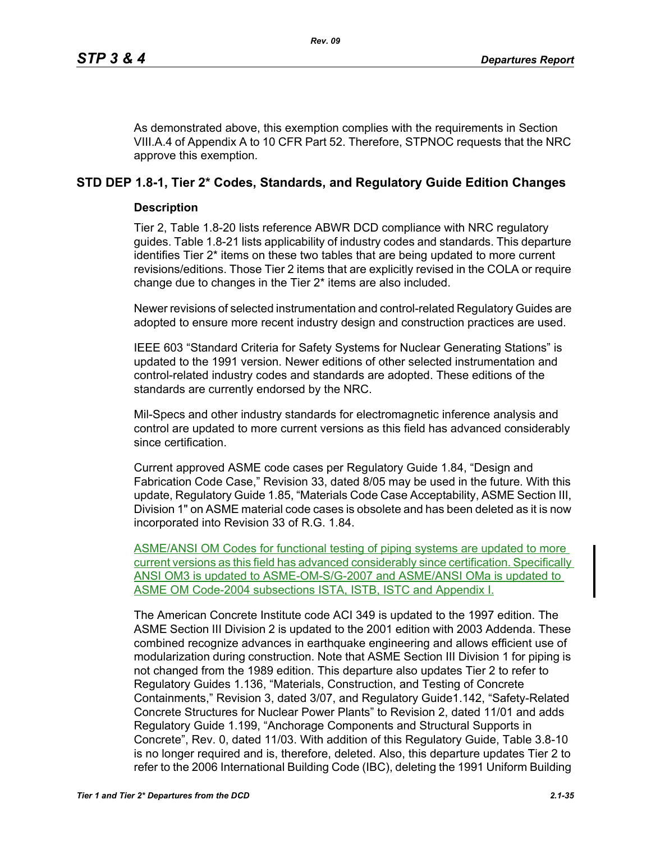As demonstrated above, this exemption complies with the requirements in Section VIII.A.4 of Appendix A to 10 CFR Part 52. Therefore, STPNOC requests that the NRC approve this exemption.

# **STD DEP 1.8-1, Tier 2\* Codes, Standards, and Regulatory Guide Edition Changes**

## **Description**

Tier 2, Table 1.8-20 lists reference ABWR DCD compliance with NRC regulatory guides. Table 1.8-21 lists applicability of industry codes and standards. This departure identifies Tier 2\* items on these two tables that are being updated to more current revisions/editions. Those Tier 2 items that are explicitly revised in the COLA or require change due to changes in the Tier 2\* items are also included.

Newer revisions of selected instrumentation and control-related Regulatory Guides are adopted to ensure more recent industry design and construction practices are used.

IEEE 603 "Standard Criteria for Safety Systems for Nuclear Generating Stations" is updated to the 1991 version. Newer editions of other selected instrumentation and control-related industry codes and standards are adopted. These editions of the standards are currently endorsed by the NRC.

Mil-Specs and other industry standards for electromagnetic inference analysis and control are updated to more current versions as this field has advanced considerably since certification.

Current approved ASME code cases per Regulatory Guide 1.84, "Design and Fabrication Code Case," Revision 33, dated 8/05 may be used in the future. With this update, Regulatory Guide 1.85, "Materials Code Case Acceptability, ASME Section III, Division 1" on ASME material code cases is obsolete and has been deleted as it is now incorporated into Revision 33 of R.G. 1.84.

ASME/ANSI OM Codes for functional testing of piping systems are updated to more current versions as this field has advanced considerably since certification. Specifically ANSI OM3 is updated to ASME-OM-S/G-2007 and ASME/ANSI OMa is updated to ASME OM Code-2004 subsections ISTA, ISTB, ISTC and Appendix I.

The American Concrete Institute code ACI 349 is updated to the 1997 edition. The ASME Section III Division 2 is updated to the 2001 edition with 2003 Addenda. These combined recognize advances in earthquake engineering and allows efficient use of modularization during construction. Note that ASME Section III Division 1 for piping is not changed from the 1989 edition. This departure also updates Tier 2 to refer to Regulatory Guides 1.136, "Materials, Construction, and Testing of Concrete Containments," Revision 3, dated 3/07, and Regulatory Guide1.142, "Safety-Related Concrete Structures for Nuclear Power Plants" to Revision 2, dated 11/01 and adds Regulatory Guide 1.199, "Anchorage Components and Structural Supports in Concrete", Rev. 0, dated 11/03. With addition of this Regulatory Guide, Table 3.8-10 is no longer required and is, therefore, deleted. Also, this departure updates Tier 2 to refer to the 2006 International Building Code (IBC), deleting the 1991 Uniform Building